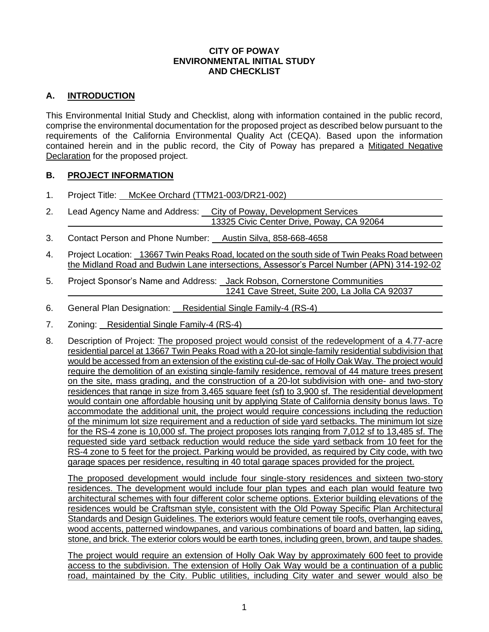#### **CITY OF POWAY ENVIRONMENTAL INITIAL STUDY AND CHECKLIST**

# **A. INTRODUCTION**

This Environmental Initial Study and Checklist, along with information contained in the public record, comprise the environmental documentation for the proposed project as described below pursuant to the requirements of the California Environmental Quality Act (CEQA). Based upon the information contained herein and in the public record, the City of Poway has prepared a Mitigated Negative Declaration for the proposed project.

# **B. PROJECT INFORMATION**

- 1. Project Title: McKee Orchard (TTM21-003/DR21-002)
- 2. Lead Agency Name and Address: City of Poway, Development Services 13325 Civic Center Drive, Poway, CA 92064
- 3. Contact Person and Phone Number: Austin Silva, 858-668-4658
- 4. Project Location: 13667 Twin Peaks Road, located on the south side of Twin Peaks Road between the Midland Road and Budwin Lane intersections, Assessor's Parcel Number (APN) 314-192-02
- 5. Project Sponsor's Name and Address: Jack Robson, Cornerstone Communities 1241 Cave Street, Suite 200, La Jolla CA 92037
- 6. General Plan Designation: Residential Single Family-4 (RS-4)
- 7. Zoning: Residential Single Family-4 (RS-4)
- 8. Description of Project: The proposed project would consist of the redevelopment of a 4.77-acre residential parcel at 13667 Twin Peaks Road with a 20-lot single-family residential subdivision that would be accessed from an extension of the existing cul-de-sac of Holly Oak Way. The project would require the demolition of an existing single-family residence, removal of 44 mature trees present on the site, mass grading, and the construction of a 20-lot subdivision with one- and two-story residences that range in size from 3.465 square feet (sf) to 3.900 sf. The residential development would contain one affordable housing unit by applying State of California density bonus laws. To accommodate the additional unit, the project would require concessions including the reduction of the minimum lot size requirement and a reduction of side yard setbacks. The minimum lot size for the RS-4 zone is 10,000 sf. The project proposes lots ranging from 7,012 sf to 13,485 sf. The requested side yard setback reduction would reduce the side yard setback from 10 feet for the RS-4 zone to 5 feet for the project. Parking would be provided, as required by City code, with two garage spaces per residence, resulting in 40 total garage spaces provided for the project.

The proposed development would include four single-story residences and sixteen two-story residences. The development would include four plan types and each plan would feature two architectural schemes with four different color scheme options. Exterior building elevations of the residences would be Craftsman style, consistent with the Old Poway Specific Plan Architectural Standards and Design Guidelines. The exteriors would feature cement tile roofs, overhanging eaves, wood accents, patterned windowpanes, and various combinations of board and batten, lap siding, stone, and brick. The exterior colors would be earth tones, including green, brown, and taupe shades.

The project would require an extension of Holly Oak Way by approximately 600 feet to provide access to the subdivision. The extension of Holly Oak Way would be a continuation of a public road, maintained by the City. Public utilities, including City water and sewer would also be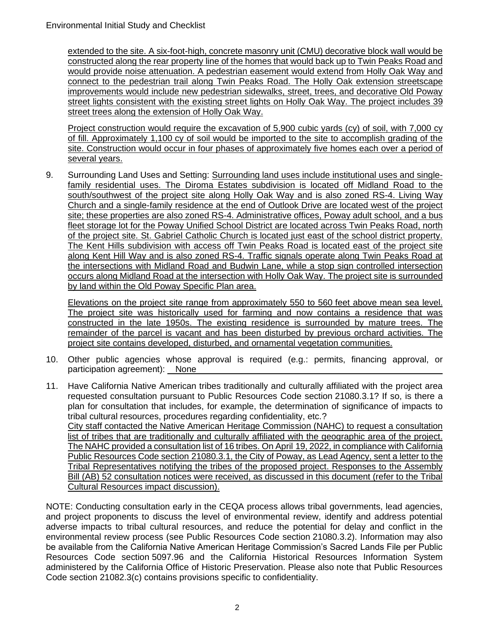extended to the site. A six-foot-high, concrete masonry unit (CMU) decorative block wall would be constructed along the rear property line of the homes that would back up to Twin Peaks Road and would provide noise attenuation. A pedestrian easement would extend from Holly Oak Way and connect to the pedestrian trail along Twin Peaks Road. The Holly Oak extension streetscape improvements would include new pedestrian sidewalks, street, trees, and decorative Old Poway street lights consistent with the existing street lights on Holly Oak Way. The project includes 39 street trees along the extension of Holly Oak Way.

Project construction would require the excavation of 5,900 cubic yards (cy) of soil, with 7,000 cy of fill. Approximately 1,100 cy of soil would be imported to the site to accomplish grading of the site. Construction would occur in four phases of approximately five homes each over a period of several years.

9. Surrounding Land Uses and Setting: Surrounding land uses include institutional uses and singlefamily residential uses. The Diroma Estates subdivision is located off Midland Road to the south/southwest of the project site along Holly Oak Way and is also zoned RS-4. Living Way Church and a single-family residence at the end of Outlook Drive are located west of the project site; these properties are also zoned RS-4. Administrative offices, Poway adult school, and a bus fleet storage lot for the Poway Unified School District are located across Twin Peaks Road, north of the project site. St. Gabriel Catholic Church is located just east of the school district property. The Kent Hills subdivision with access off Twin Peaks Road is located east of the project site along Kent Hill Way and is also zoned RS-4. Traffic signals operate along Twin Peaks Road at the intersections with Midland Road and Budwin Lane, while a stop sign controlled intersection occurs along Midland Road at the intersection with Holly Oak Way. The project site is surrounded by land within the Old Poway Specific Plan area.

Elevations on the project site range from approximately 550 to 560 feet above mean sea level. The project site was historically used for farming and now contains a residence that was constructed in the late 1950s. The existing residence is surrounded by mature trees. The remainder of the parcel is vacant and has been disturbed by previous orchard activities. The project site contains developed, disturbed, and ornamental vegetation communities.

- 10. Other public agencies whose approval is required (e.g.: permits, financing approval, or participation agreement): None
- 11. Have California Native American tribes traditionally and culturally affiliated with the project area requested consultation pursuant to Public Resources Code section 21080.3.1? If so, is there a plan for consultation that includes, for example, the determination of significance of impacts to tribal cultural resources, procedures regarding confidentiality, etc.? City staff contacted the Native American Heritage Commission (NAHC) to request a consultation list of tribes that are traditionally and culturally affiliated with the geographic area of the project. The NAHC provided a consultation list of 16 tribes. On April 19, 2022, in compliance with California Public Resources Code section 21080.3.1, the City of Poway, as Lead Agency, sent a letter to the Tribal Representatives notifying the tribes of the proposed project. Responses to the Assembly Bill (AB) 52 consultation notices were received, as discussed in this document (refer to the Tribal Cultural Resources impact discussion).

NOTE: Conducting consultation early in the CEQA process allows tribal governments, lead agencies, and project proponents to discuss the level of environmental review, identify and address potential adverse impacts to tribal cultural resources, and reduce the potential for delay and conflict in the environmental review process (see Public Resources Code section 21080.3.2). Information may also be available from the California Native American Heritage Commission's Sacred Lands File per Public Resources Code section 5097.96 and the California Historical Resources Information System administered by the California Office of Historic Preservation. Please also note that Public Resources Code section 21082.3(c) contains provisions specific to confidentiality.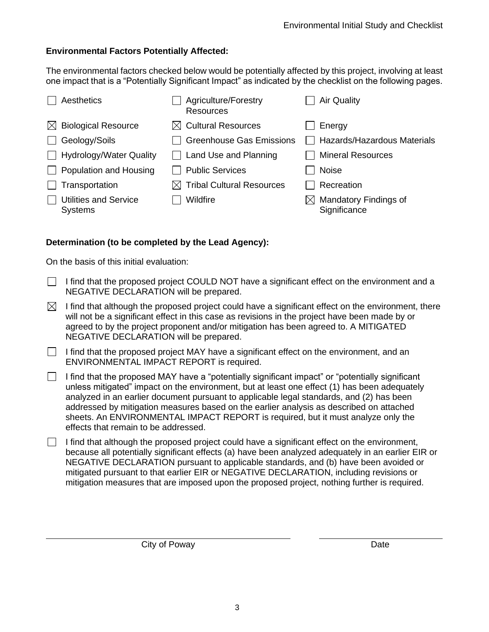# **Environmental Factors Potentially Affected:**

The environmental factors checked below would be potentially affected by this project, involving at least one impact that is a "Potentially Significant Impact" as indicated by the checklist on the following pages.

| Aesthetics                                     | Agriculture/Forestry<br><b>Resources</b> | <b>Air Quality</b>                           |
|------------------------------------------------|------------------------------------------|----------------------------------------------|
| <b>Biological Resource</b><br>$\bowtie$        | <b>Cultural Resources</b><br>IXL         | Energy                                       |
| Geology/Soils                                  | <b>Greenhouse Gas Emissions</b>          | Hazards/Hazardous Materials                  |
| <b>Hydrology/Water Quality</b>                 | Land Use and Planning                    | <b>Mineral Resources</b>                     |
| Population and Housing<br>$\mathbf{I}$         | <b>Public Services</b>                   | <b>Noise</b>                                 |
| Transportation                                 | <b>Tribal Cultural Resources</b><br>IXI  | Recreation                                   |
| <b>Utilities and Service</b><br><b>Systems</b> | Wildfire                                 | <b>Mandatory Findings of</b><br>Significance |

# **Determination (to be completed by the Lead Agency):**

On the basis of this initial evaluation:

- $\Box$  I find that the proposed project COULD NOT have a significant effect on the environment and a NEGATIVE DECLARATION will be prepared.
- $\boxtimes$  I find that although the proposed project could have a significant effect on the environment, there will not be a significant effect in this case as revisions in the project have been made by or agreed to by the project proponent and/or mitigation has been agreed to. A MITIGATED NEGATIVE DECLARATION will be prepared.
- $\Box$  I find that the proposed project MAY have a significant effect on the environment, and an ENVIRONMENTAL IMPACT REPORT is required.
- $\Box$  I find that the proposed MAY have a "potentially significant impact" or "potentially significant unless mitigated" impact on the environment, but at least one effect (1) has been adequately analyzed in an earlier document pursuant to applicable legal standards, and (2) has been addressed by mitigation measures based on the earlier analysis as described on attached sheets. An ENVIRONMENTAL IMPACT REPORT is required, but it must analyze only the effects that remain to be addressed.
- $\Box$  I find that although the proposed project could have a significant effect on the environment, because all potentially significant effects (a) have been analyzed adequately in an earlier EIR or NEGATIVE DECLARATION pursuant to applicable standards, and (b) have been avoided or mitigated pursuant to that earlier EIR or NEGATIVE DECLARATION, including revisions or mitigation measures that are imposed upon the proposed project, nothing further is required.

City of Poway **Date**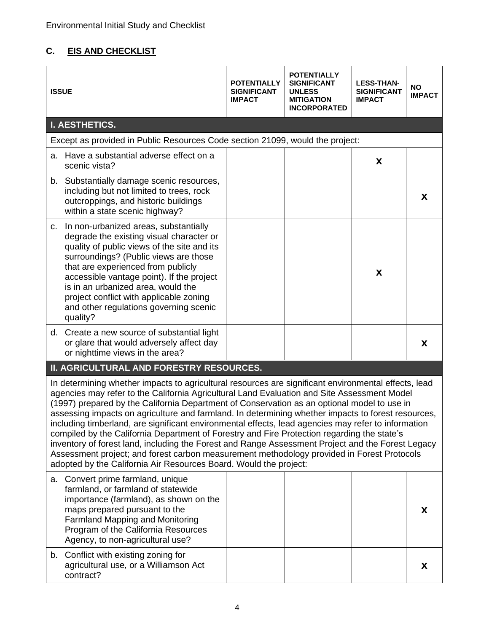# **C. EIS AND CHECKLIST**

| <b>ISSUE</b>                                                                                                                                                                                                                                                                                                                                                                                                                                                                                                                                                                                                                                                                                                                                                                                                                                                                           | <b>POTENTIALLY</b><br><b>SIGNIFICANT</b><br><b>IMPACT</b> | <b>POTENTIALLY</b><br><b>SIGNIFICANT</b><br><b>UNLESS</b><br><b>MITIGATION</b><br><b>INCORPORATED</b> | <b>LESS-THAN-</b><br><b>SIGNIFICANT</b><br><b>IMPACT</b> | <b>NO</b><br><b>IMPACT</b> |  |
|----------------------------------------------------------------------------------------------------------------------------------------------------------------------------------------------------------------------------------------------------------------------------------------------------------------------------------------------------------------------------------------------------------------------------------------------------------------------------------------------------------------------------------------------------------------------------------------------------------------------------------------------------------------------------------------------------------------------------------------------------------------------------------------------------------------------------------------------------------------------------------------|-----------------------------------------------------------|-------------------------------------------------------------------------------------------------------|----------------------------------------------------------|----------------------------|--|
| <b>I. AESTHETICS.</b>                                                                                                                                                                                                                                                                                                                                                                                                                                                                                                                                                                                                                                                                                                                                                                                                                                                                  |                                                           |                                                                                                       |                                                          |                            |  |
| Except as provided in Public Resources Code section 21099, would the project:                                                                                                                                                                                                                                                                                                                                                                                                                                                                                                                                                                                                                                                                                                                                                                                                          |                                                           |                                                                                                       |                                                          |                            |  |
| a. Have a substantial adverse effect on a<br>scenic vista?                                                                                                                                                                                                                                                                                                                                                                                                                                                                                                                                                                                                                                                                                                                                                                                                                             |                                                           |                                                                                                       | X                                                        |                            |  |
| b. Substantially damage scenic resources,<br>including but not limited to trees, rock<br>outcroppings, and historic buildings<br>within a state scenic highway?                                                                                                                                                                                                                                                                                                                                                                                                                                                                                                                                                                                                                                                                                                                        |                                                           |                                                                                                       |                                                          | X                          |  |
| c. In non-urbanized areas, substantially<br>degrade the existing visual character or<br>quality of public views of the site and its<br>surroundings? (Public views are those<br>that are experienced from publicly<br>accessible vantage point). If the project<br>is in an urbanized area, would the<br>project conflict with applicable zoning<br>and other regulations governing scenic<br>quality?                                                                                                                                                                                                                                                                                                                                                                                                                                                                                 |                                                           |                                                                                                       | X                                                        |                            |  |
| d. Create a new source of substantial light<br>or glare that would adversely affect day<br>or nighttime views in the area?                                                                                                                                                                                                                                                                                                                                                                                                                                                                                                                                                                                                                                                                                                                                                             |                                                           |                                                                                                       |                                                          | X                          |  |
| II. AGRICULTURAL AND FORESTRY RESOURCES.                                                                                                                                                                                                                                                                                                                                                                                                                                                                                                                                                                                                                                                                                                                                                                                                                                               |                                                           |                                                                                                       |                                                          |                            |  |
| In determining whether impacts to agricultural resources are significant environmental effects, lead<br>agencies may refer to the California Agricultural Land Evaluation and Site Assessment Model<br>(1997) prepared by the California Department of Conservation as an optional model to use in<br>assessing impacts on agriculture and farmland. In determining whether impacts to forest resources,<br>including timberland, are significant environmental effects, lead agencies may refer to information<br>compiled by the California Department of Forestry and Fire Protection regarding the state's<br>inventory of forest land, including the Forest and Range Assessment Project and the Forest Legacy<br>Assessment project; and forest carbon measurement methodology provided in Forest Protocols<br>adopted by the California Air Resources Board. Would the project: |                                                           |                                                                                                       |                                                          |                            |  |
| Convert prime farmland, unique<br>а.<br>farmland, or farmland of statewide<br>importance (farmland), as shown on the<br>maps prepared pursuant to the<br><b>Farmland Mapping and Monitoring</b><br>Program of the California Resources<br>Agency, to non-agricultural use?                                                                                                                                                                                                                                                                                                                                                                                                                                                                                                                                                                                                             |                                                           |                                                                                                       |                                                          | X                          |  |
| b. Conflict with existing zoning for<br>agricultural use, or a Williamson Act<br>contract?                                                                                                                                                                                                                                                                                                                                                                                                                                                                                                                                                                                                                                                                                                                                                                                             |                                                           |                                                                                                       |                                                          | X                          |  |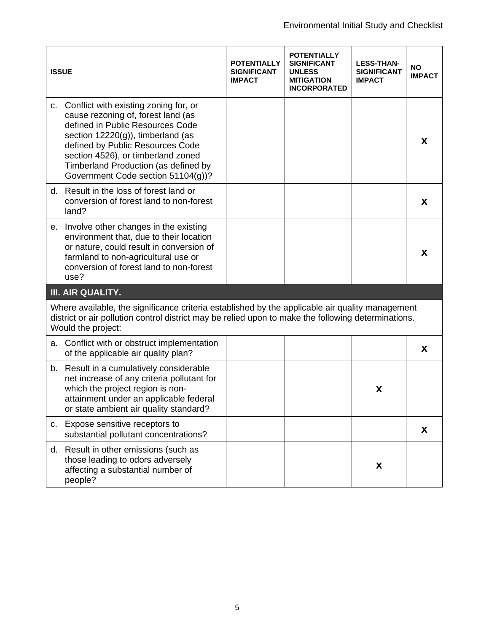|    | <b>ISSUE</b>                                                                                                                                                                                                                                                                                                      | <b>POTENTIALLY</b><br><b>SIGNIFICANT</b><br><b>IMPACT</b> | <b>POTENTIALLY</b><br><b>SIGNIFICANT</b><br><b>UNLESS</b><br><b>MITIGATION</b><br><b>INCORPORATED</b> | <b>LESS-THAN-</b><br><b>SIGNIFICANT</b><br><b>IMPACT</b> | <b>NO</b><br><b>IMPACT</b> |
|----|-------------------------------------------------------------------------------------------------------------------------------------------------------------------------------------------------------------------------------------------------------------------------------------------------------------------|-----------------------------------------------------------|-------------------------------------------------------------------------------------------------------|----------------------------------------------------------|----------------------------|
|    | c. Conflict with existing zoning for, or<br>cause rezoning of, forest land (as<br>defined in Public Resources Code<br>section $12220(g)$ , timberland (as<br>defined by Public Resources Code<br>section 4526), or timberland zoned<br>Timberland Production (as defined by<br>Government Code section 51104(g))? |                                                           |                                                                                                       |                                                          | X                          |
|    | d. Result in the loss of forest land or<br>conversion of forest land to non-forest<br>land?                                                                                                                                                                                                                       |                                                           |                                                                                                       |                                                          | X                          |
| е. | Involve other changes in the existing<br>environment that, due to their location<br>or nature, could result in conversion of<br>farmland to non-agricultural use or<br>conversion of forest land to non-forest<br>use?                                                                                            |                                                           |                                                                                                       |                                                          | X                          |
|    | III. AIR QUALITY.                                                                                                                                                                                                                                                                                                 |                                                           |                                                                                                       |                                                          |                            |
|    | Where available, the significance criteria established by the applicable air quality management<br>district or air pollution control district may be relied upon to make the following determinations.<br>Would the project:                                                                                      |                                                           |                                                                                                       |                                                          |                            |
|    | a. Conflict with or obstruct implementation<br>of the applicable air quality plan?                                                                                                                                                                                                                                |                                                           |                                                                                                       |                                                          | X                          |
|    | b. Result in a cumulatively considerable<br>net increase of any criteria pollutant for<br>which the project region is non-<br>attainment under an applicable federal<br>or state ambient air quality standard?                                                                                                    |                                                           |                                                                                                       | X                                                        |                            |
|    | c. Expose sensitive receptors to<br>substantial pollutant concentrations?                                                                                                                                                                                                                                         |                                                           |                                                                                                       |                                                          | X                          |
|    | d. Result in other emissions (such as<br>those leading to odors adversely<br>affecting a substantial number of<br>people?                                                                                                                                                                                         |                                                           |                                                                                                       | X                                                        |                            |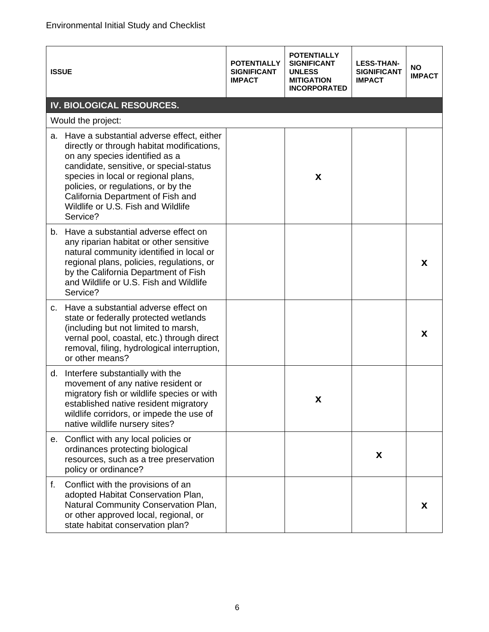| <b>ISSUE</b> |                                                                                                                                                                                                                                                                                                                                           | <b>POTENTIALLY</b><br><b>SIGNIFICANT</b><br><b>IMPACT</b> | <b>POTENTIALLY</b><br><b>SIGNIFICANT</b><br><b>UNLESS</b><br><b>MITIGATION</b><br><b>INCORPORATED</b> | <b>LESS-THAN-</b><br><b>SIGNIFICANT</b><br><b>IMPACT</b> | NO.<br><b>IMPACT</b> |
|--------------|-------------------------------------------------------------------------------------------------------------------------------------------------------------------------------------------------------------------------------------------------------------------------------------------------------------------------------------------|-----------------------------------------------------------|-------------------------------------------------------------------------------------------------------|----------------------------------------------------------|----------------------|
|              | IV. BIOLOGICAL RESOURCES.                                                                                                                                                                                                                                                                                                                 |                                                           |                                                                                                       |                                                          |                      |
|              | Would the project:                                                                                                                                                                                                                                                                                                                        |                                                           |                                                                                                       |                                                          |                      |
| a.           | Have a substantial adverse effect, either<br>directly or through habitat modifications,<br>on any species identified as a<br>candidate, sensitive, or special-status<br>species in local or regional plans,<br>policies, or regulations, or by the<br>California Department of Fish and<br>Wildlife or U.S. Fish and Wildlife<br>Service? |                                                           | X                                                                                                     |                                                          |                      |
| b.           | Have a substantial adverse effect on<br>any riparian habitat or other sensitive<br>natural community identified in local or<br>regional plans, policies, regulations, or<br>by the California Department of Fish<br>and Wildlife or U.S. Fish and Wildlife<br>Service?                                                                    |                                                           |                                                                                                       |                                                          | X                    |
| $C_{1}$      | Have a substantial adverse effect on<br>state or federally protected wetlands<br>(including but not limited to marsh,<br>vernal pool, coastal, etc.) through direct<br>removal, filing, hydrological interruption,<br>or other means?                                                                                                     |                                                           |                                                                                                       |                                                          | X                    |
| d.           | Interfere substantially with the<br>movement of any native resident or<br>migratory fish or wildlife species or with<br>established native resident migratory<br>wildlife corridors, or impede the use of<br>native wildlife nursery sites?                                                                                               |                                                           | X.                                                                                                    |                                                          |                      |
|              | e. Conflict with any local policies or<br>ordinances protecting biological<br>resources, such as a tree preservation<br>policy or ordinance?                                                                                                                                                                                              |                                                           |                                                                                                       | X                                                        |                      |
| f.           | Conflict with the provisions of an<br>adopted Habitat Conservation Plan,<br>Natural Community Conservation Plan,<br>or other approved local, regional, or<br>state habitat conservation plan?                                                                                                                                             |                                                           |                                                                                                       |                                                          | X.                   |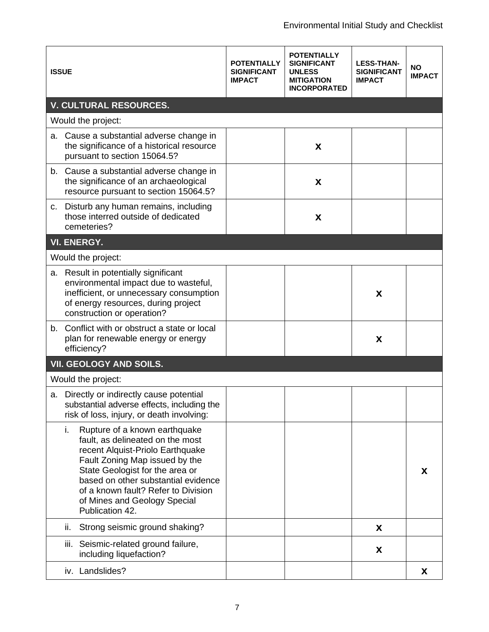| <b>ISSUE</b>                                                                                                                                                                                                                                                                                                      | <b>POTENTIALLY</b><br><b>SIGNIFICANT</b><br><b>IMPACT</b> | <b>POTENTIALLY</b><br><b>SIGNIFICANT</b><br><b>UNLESS</b><br><b>MITIGATION</b><br><b>INCORPORATED</b> | <b>LESS-THAN-</b><br><b>SIGNIFICANT</b><br><b>IMPACT</b> | <b>NO</b><br><b>IMPACT</b> |
|-------------------------------------------------------------------------------------------------------------------------------------------------------------------------------------------------------------------------------------------------------------------------------------------------------------------|-----------------------------------------------------------|-------------------------------------------------------------------------------------------------------|----------------------------------------------------------|----------------------------|
| <b>V. CULTURAL RESOURCES.</b>                                                                                                                                                                                                                                                                                     |                                                           |                                                                                                       |                                                          |                            |
| Would the project:                                                                                                                                                                                                                                                                                                |                                                           |                                                                                                       |                                                          |                            |
| Cause a substantial adverse change in<br>а.<br>the significance of a historical resource<br>pursuant to section 15064.5?                                                                                                                                                                                          |                                                           | X                                                                                                     |                                                          |                            |
| b. Cause a substantial adverse change in<br>the significance of an archaeological<br>resource pursuant to section 15064.5?                                                                                                                                                                                        |                                                           | X                                                                                                     |                                                          |                            |
| c. Disturb any human remains, including<br>those interred outside of dedicated<br>cemeteries?                                                                                                                                                                                                                     |                                                           | X                                                                                                     |                                                          |                            |
| <b>VI. ENERGY.</b>                                                                                                                                                                                                                                                                                                |                                                           |                                                                                                       |                                                          |                            |
| Would the project:                                                                                                                                                                                                                                                                                                |                                                           |                                                                                                       |                                                          |                            |
| a. Result in potentially significant<br>environmental impact due to wasteful,<br>inefficient, or unnecessary consumption<br>of energy resources, during project<br>construction or operation?                                                                                                                     |                                                           |                                                                                                       | X                                                        |                            |
| Conflict with or obstruct a state or local<br>b.<br>plan for renewable energy or energy<br>efficiency?                                                                                                                                                                                                            |                                                           |                                                                                                       | X                                                        |                            |
| <b>VII. GEOLOGY AND SOILS.</b>                                                                                                                                                                                                                                                                                    |                                                           |                                                                                                       |                                                          |                            |
| Would the project:                                                                                                                                                                                                                                                                                                |                                                           |                                                                                                       |                                                          |                            |
| a. Directly or indirectly cause potential<br>substantial adverse effects, including the<br>risk of loss, injury, or death involving:                                                                                                                                                                              |                                                           |                                                                                                       |                                                          |                            |
| Rupture of a known earthquake<br>i.<br>fault, as delineated on the most<br>recent Alquist-Priolo Earthquake<br>Fault Zoning Map issued by the<br>State Geologist for the area or<br>based on other substantial evidence<br>of a known fault? Refer to Division<br>of Mines and Geology Special<br>Publication 42. |                                                           |                                                                                                       |                                                          | X                          |
| Strong seismic ground shaking?<br>ii.                                                                                                                                                                                                                                                                             |                                                           |                                                                                                       | X                                                        |                            |
| Seismic-related ground failure,<br>iii.<br>including liquefaction?                                                                                                                                                                                                                                                |                                                           |                                                                                                       | X                                                        |                            |
| iv. Landslides?                                                                                                                                                                                                                                                                                                   |                                                           |                                                                                                       |                                                          | X                          |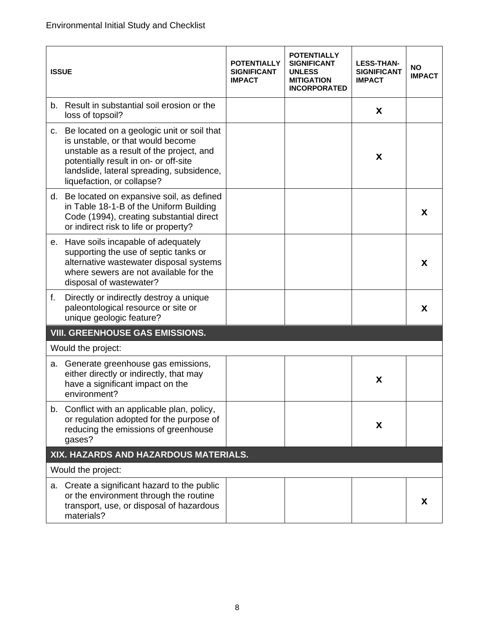| <b>ISSUE</b> |                                                                                                                                                                                                                                                    | <b>POTENTIALLY</b><br><b>SIGNIFICANT</b><br><b>IMPACT</b> | <b>POTENTIALLY</b><br><b>SIGNIFICANT</b><br><b>UNLESS</b><br><b>MITIGATION</b><br><b>INCORPORATED</b> | <b>LESS-THAN-</b><br><b>SIGNIFICANT</b><br><b>IMPACT</b> | <b>NO</b><br><b>IMPACT</b> |
|--------------|----------------------------------------------------------------------------------------------------------------------------------------------------------------------------------------------------------------------------------------------------|-----------------------------------------------------------|-------------------------------------------------------------------------------------------------------|----------------------------------------------------------|----------------------------|
|              | b. Result in substantial soil erosion or the<br>loss of topsoil?                                                                                                                                                                                   |                                                           |                                                                                                       | X                                                        |                            |
|              | c. Be located on a geologic unit or soil that<br>is unstable, or that would become<br>unstable as a result of the project, and<br>potentially result in on- or off-site<br>landslide, lateral spreading, subsidence,<br>liquefaction, or collapse? |                                                           |                                                                                                       | X                                                        |                            |
|              | d. Be located on expansive soil, as defined<br>in Table 18-1-B of the Uniform Building<br>Code (1994), creating substantial direct<br>or indirect risk to life or property?                                                                        |                                                           |                                                                                                       |                                                          | X                          |
| е.           | Have soils incapable of adequately<br>supporting the use of septic tanks or<br>alternative wastewater disposal systems<br>where sewers are not available for the<br>disposal of wastewater?                                                        |                                                           |                                                                                                       |                                                          | X.                         |
| f.           | Directly or indirectly destroy a unique<br>paleontological resource or site or<br>unique geologic feature?                                                                                                                                         |                                                           |                                                                                                       |                                                          | X                          |
|              | <b>VIII. GREENHOUSE GAS EMISSIONS.</b>                                                                                                                                                                                                             |                                                           |                                                                                                       |                                                          |                            |
|              | Would the project:                                                                                                                                                                                                                                 |                                                           |                                                                                                       |                                                          |                            |
| а.           | Generate greenhouse gas emissions,<br>either directly or indirectly, that may<br>have a significant impact on the<br>environment?                                                                                                                  |                                                           |                                                                                                       | X                                                        |                            |
|              | b. Conflict with an applicable plan, policy,<br>or regulation adopted for the purpose of<br>reducing the emissions of greenhouse<br>gases?                                                                                                         |                                                           |                                                                                                       | X                                                        |                            |
|              | XIX. HAZARDS AND HAZARDOUS MATERIALS.                                                                                                                                                                                                              |                                                           |                                                                                                       |                                                          |                            |
|              | Would the project:                                                                                                                                                                                                                                 |                                                           |                                                                                                       |                                                          |                            |
| а.           | Create a significant hazard to the public<br>or the environment through the routine<br>transport, use, or disposal of hazardous<br>materials?                                                                                                      |                                                           |                                                                                                       |                                                          | X                          |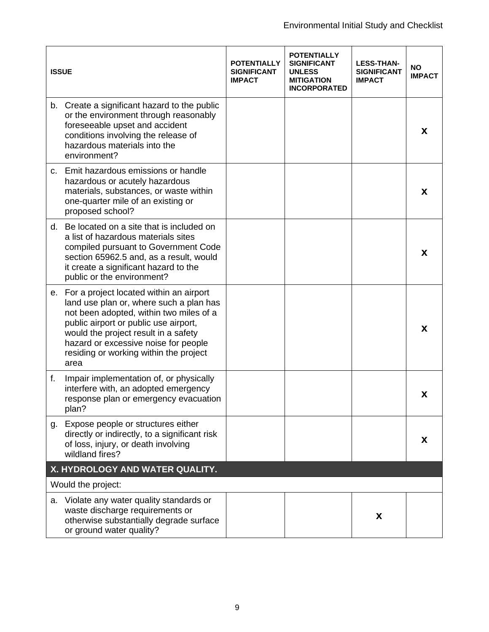|    | <b>ISSUE</b>                                                                                                                                                                                                                                                                                                | <b>POTENTIALLY</b><br><b>SIGNIFICANT</b><br>IMPACT | <b>POTENTIALLY</b><br><b>SIGNIFICANT</b><br><b>UNLESS</b><br><b>MITIGATION</b><br><b>INCORPORATED</b> | <b>LESS-THAN-</b><br><b>SIGNIFICANT</b><br><b>IMPACT</b> | <b>NO</b><br><b>IMPACT</b> |
|----|-------------------------------------------------------------------------------------------------------------------------------------------------------------------------------------------------------------------------------------------------------------------------------------------------------------|----------------------------------------------------|-------------------------------------------------------------------------------------------------------|----------------------------------------------------------|----------------------------|
|    | b. Create a significant hazard to the public<br>or the environment through reasonably<br>foreseeable upset and accident<br>conditions involving the release of<br>hazardous materials into the<br>environment?                                                                                              |                                                    |                                                                                                       |                                                          | X                          |
| C. | Emit hazardous emissions or handle<br>hazardous or acutely hazardous<br>materials, substances, or waste within<br>one-quarter mile of an existing or<br>proposed school?                                                                                                                                    |                                                    |                                                                                                       |                                                          | X                          |
|    | d. Be located on a site that is included on<br>a list of hazardous materials sites<br>compiled pursuant to Government Code<br>section 65962.5 and, as a result, would<br>it create a significant hazard to the<br>public or the environment?                                                                |                                                    |                                                                                                       |                                                          | X                          |
|    | e. For a project located within an airport<br>land use plan or, where such a plan has<br>not been adopted, within two miles of a<br>public airport or public use airport,<br>would the project result in a safety<br>hazard or excessive noise for people<br>residing or working within the project<br>area |                                                    |                                                                                                       |                                                          | X                          |
| f. | Impair implementation of, or physically<br>interfere with, an adopted emergency<br>response plan or emergency evacuation<br>plan?                                                                                                                                                                           |                                                    |                                                                                                       |                                                          | X                          |
|    | g. Expose people or structures either<br>directly or indirectly, to a significant risk<br>of loss, injury, or death involving<br>wildland fires?                                                                                                                                                            |                                                    |                                                                                                       |                                                          | X.                         |
|    | X. HYDROLOGY AND WATER QUALITY.                                                                                                                                                                                                                                                                             |                                                    |                                                                                                       |                                                          |                            |
|    | Would the project:                                                                                                                                                                                                                                                                                          |                                                    |                                                                                                       |                                                          |                            |
|    | a. Violate any water quality standards or<br>waste discharge requirements or<br>otherwise substantially degrade surface<br>or ground water quality?                                                                                                                                                         |                                                    |                                                                                                       | X                                                        |                            |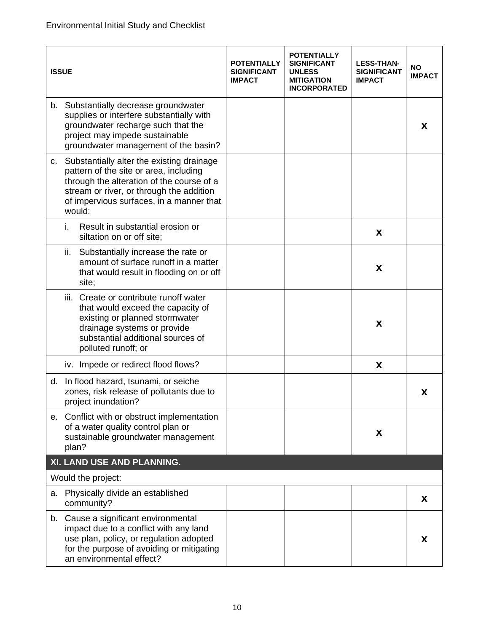|    | <b>ISSUE</b>                                                                                                                                                                                                                          | <b>POTENTIALLY</b><br><b>SIGNIFICANT</b><br><b>IMPACT</b> | <b>POTENTIALLY</b><br><b>SIGNIFICANT</b><br><b>UNLESS</b><br><b>MITIGATION</b><br><b>INCORPORATED</b> | <b>LESS-THAN-</b><br><b>SIGNIFICANT</b><br><b>IMPACT</b> | <b>NO</b><br><b>IMPACT</b> |
|----|---------------------------------------------------------------------------------------------------------------------------------------------------------------------------------------------------------------------------------------|-----------------------------------------------------------|-------------------------------------------------------------------------------------------------------|----------------------------------------------------------|----------------------------|
|    | b. Substantially decrease groundwater<br>supplies or interfere substantially with<br>groundwater recharge such that the<br>project may impede sustainable<br>groundwater management of the basin?                                     |                                                           |                                                                                                       |                                                          | X                          |
|    | c. Substantially alter the existing drainage<br>pattern of the site or area, including<br>through the alteration of the course of a<br>stream or river, or through the addition<br>of impervious surfaces, in a manner that<br>would: |                                                           |                                                                                                       |                                                          |                            |
|    | Result in substantial erosion or<br>i.<br>siltation on or off site;                                                                                                                                                                   |                                                           |                                                                                                       | X                                                        |                            |
|    | ii.<br>Substantially increase the rate or<br>amount of surface runoff in a matter<br>that would result in flooding on or off<br>site;                                                                                                 |                                                           |                                                                                                       | X                                                        |                            |
|    | Create or contribute runoff water<br>iii.<br>that would exceed the capacity of<br>existing or planned stormwater<br>drainage systems or provide<br>substantial additional sources of<br>polluted runoff; or                           |                                                           |                                                                                                       | X                                                        |                            |
|    | iv. Impede or redirect flood flows?                                                                                                                                                                                                   |                                                           |                                                                                                       | X                                                        |                            |
| d. | In flood hazard, tsunami, or seiche<br>zones, risk release of pollutants due to<br>project inundation?                                                                                                                                |                                                           |                                                                                                       |                                                          | X                          |
|    | e. Conflict with or obstruct implementation<br>of a water quality control plan or<br>sustainable groundwater management<br>plan?                                                                                                      |                                                           |                                                                                                       | X                                                        |                            |
|    | XI. LAND USE AND PLANNING.                                                                                                                                                                                                            |                                                           |                                                                                                       |                                                          |                            |
|    | Would the project:                                                                                                                                                                                                                    |                                                           |                                                                                                       |                                                          |                            |
| а. | Physically divide an established<br>community?                                                                                                                                                                                        |                                                           |                                                                                                       |                                                          | X                          |
|    | b. Cause a significant environmental<br>impact due to a conflict with any land<br>use plan, policy, or regulation adopted<br>for the purpose of avoiding or mitigating<br>an environmental effect?                                    |                                                           |                                                                                                       |                                                          | X                          |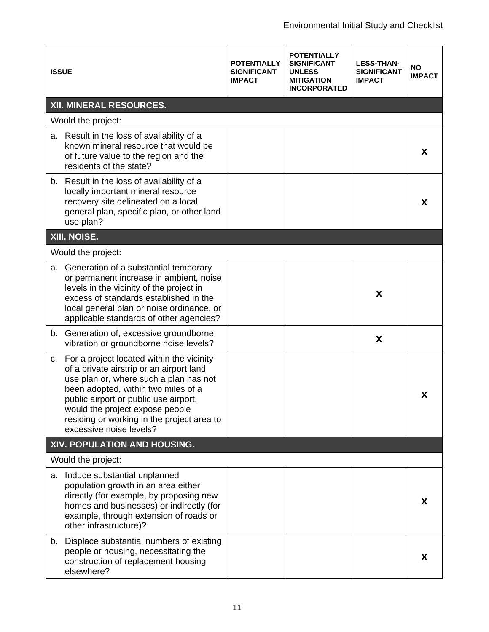| <b>ISSUE</b> |                                                                                                                                                                                                                                                                                                                                | <b>POTENTIALLY</b><br><b>SIGNIFICANT</b><br><b>IMPACT</b> | <b>POTENTIALLY</b><br><b>SIGNIFICANT</b><br><b>UNLESS</b><br><b>MITIGATION</b><br><b>INCORPORATED</b> | <b>LESS-THAN-</b><br><b>SIGNIFICANT</b><br><b>IMPACT</b> | <b>NO</b><br><b>IMPACT</b> |
|--------------|--------------------------------------------------------------------------------------------------------------------------------------------------------------------------------------------------------------------------------------------------------------------------------------------------------------------------------|-----------------------------------------------------------|-------------------------------------------------------------------------------------------------------|----------------------------------------------------------|----------------------------|
|              | XII. MINERAL RESOURCES.                                                                                                                                                                                                                                                                                                        |                                                           |                                                                                                       |                                                          |                            |
|              | Would the project:                                                                                                                                                                                                                                                                                                             |                                                           |                                                                                                       |                                                          |                            |
| а.           | Result in the loss of availability of a<br>known mineral resource that would be<br>of future value to the region and the<br>residents of the state?                                                                                                                                                                            |                                                           |                                                                                                       |                                                          | X                          |
|              | b. Result in the loss of availability of a<br>locally important mineral resource<br>recovery site delineated on a local<br>general plan, specific plan, or other land<br>use plan?                                                                                                                                             |                                                           |                                                                                                       |                                                          | X.                         |
|              | XIII. NOISE.                                                                                                                                                                                                                                                                                                                   |                                                           |                                                                                                       |                                                          |                            |
|              | Would the project:                                                                                                                                                                                                                                                                                                             |                                                           |                                                                                                       |                                                          |                            |
| а.           | Generation of a substantial temporary<br>or permanent increase in ambient, noise<br>levels in the vicinity of the project in<br>excess of standards established in the<br>local general plan or noise ordinance, or<br>applicable standards of other agencies?                                                                 |                                                           |                                                                                                       | X                                                        |                            |
| b.           | Generation of, excessive groundborne<br>vibration or groundborne noise levels?                                                                                                                                                                                                                                                 |                                                           |                                                                                                       | X                                                        |                            |
|              | c. For a project located within the vicinity<br>of a private airstrip or an airport land<br>use plan or, where such a plan has not<br>been adopted, within two miles of a<br>public airport or public use airport,<br>would the project expose people<br>residing or working in the project area to<br>excessive noise levels? |                                                           |                                                                                                       |                                                          | X                          |
|              | XIV. POPULATION AND HOUSING.                                                                                                                                                                                                                                                                                                   |                                                           |                                                                                                       |                                                          |                            |
|              | Would the project:                                                                                                                                                                                                                                                                                                             |                                                           |                                                                                                       |                                                          |                            |
| а.           | Induce substantial unplanned<br>population growth in an area either<br>directly (for example, by proposing new<br>homes and businesses) or indirectly (for<br>example, through extension of roads or<br>other infrastructure)?                                                                                                 |                                                           |                                                                                                       |                                                          | X                          |
| b.           | Displace substantial numbers of existing<br>people or housing, necessitating the<br>construction of replacement housing<br>elsewhere?                                                                                                                                                                                          |                                                           |                                                                                                       |                                                          | X.                         |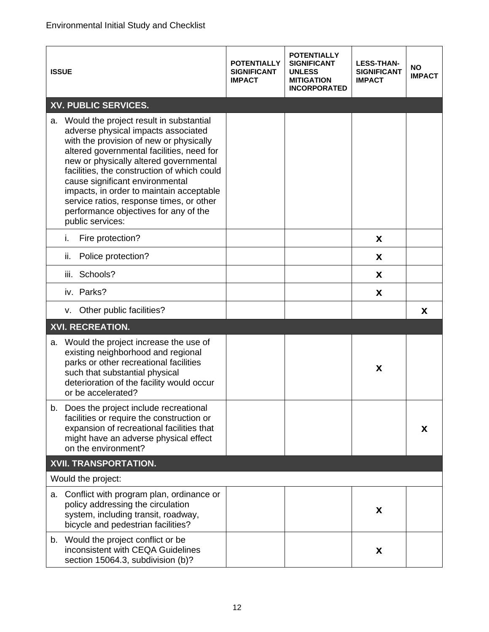|    | <b>ISSUE</b>                                                                                                                                                                                                                                                                                                                                                                                                                                               | <b>POTENTIALLY</b><br><b>SIGNIFICANT</b><br><b>IMPACT</b> | <b>POTENTIALLY</b><br><b>SIGNIFICANT</b><br><b>UNLESS</b><br><b>MITIGATION</b><br><b>INCORPORATED</b> | <b>LESS-THAN-</b><br><b>SIGNIFICANT</b><br><b>IMPACT</b> | <b>NO</b><br><b>IMPACT</b> |
|----|------------------------------------------------------------------------------------------------------------------------------------------------------------------------------------------------------------------------------------------------------------------------------------------------------------------------------------------------------------------------------------------------------------------------------------------------------------|-----------------------------------------------------------|-------------------------------------------------------------------------------------------------------|----------------------------------------------------------|----------------------------|
|    | <b>XV. PUBLIC SERVICES.</b>                                                                                                                                                                                                                                                                                                                                                                                                                                |                                                           |                                                                                                       |                                                          |                            |
|    | a. Would the project result in substantial<br>adverse physical impacts associated<br>with the provision of new or physically<br>altered governmental facilities, need for<br>new or physically altered governmental<br>facilities, the construction of which could<br>cause significant environmental<br>impacts, in order to maintain acceptable<br>service ratios, response times, or other<br>performance objectives for any of the<br>public services: |                                                           |                                                                                                       |                                                          |                            |
|    | Fire protection?<br>i.                                                                                                                                                                                                                                                                                                                                                                                                                                     |                                                           |                                                                                                       | X                                                        |                            |
|    | Police protection?<br>ii.                                                                                                                                                                                                                                                                                                                                                                                                                                  |                                                           |                                                                                                       | X                                                        |                            |
|    | Schools?<br>iii.                                                                                                                                                                                                                                                                                                                                                                                                                                           |                                                           |                                                                                                       | X                                                        |                            |
|    | iv. Parks?                                                                                                                                                                                                                                                                                                                                                                                                                                                 |                                                           |                                                                                                       | X                                                        |                            |
|    | Other public facilities?<br>۷.                                                                                                                                                                                                                                                                                                                                                                                                                             |                                                           |                                                                                                       |                                                          | X                          |
|    | <b>XVI. RECREATION.</b>                                                                                                                                                                                                                                                                                                                                                                                                                                    |                                                           |                                                                                                       |                                                          |                            |
| а. | Would the project increase the use of<br>existing neighborhood and regional<br>parks or other recreational facilities<br>such that substantial physical<br>deterioration of the facility would occur<br>or be accelerated?                                                                                                                                                                                                                                 |                                                           |                                                                                                       | X                                                        |                            |
|    | b. Does the project include recreational<br>facilities or require the construction or<br>expansion of recreational facilities that<br>might have an adverse physical effect<br>on the environment?                                                                                                                                                                                                                                                         |                                                           |                                                                                                       |                                                          | X                          |
|    | XVII. TRANSPORTATION.                                                                                                                                                                                                                                                                                                                                                                                                                                      |                                                           |                                                                                                       |                                                          |                            |
|    | Would the project:                                                                                                                                                                                                                                                                                                                                                                                                                                         |                                                           |                                                                                                       |                                                          |                            |
| а. | Conflict with program plan, ordinance or<br>policy addressing the circulation<br>system, including transit, roadway,<br>bicycle and pedestrian facilities?                                                                                                                                                                                                                                                                                                 |                                                           |                                                                                                       | X                                                        |                            |
|    | b. Would the project conflict or be<br>inconsistent with CEQA Guidelines<br>section 15064.3, subdivision (b)?                                                                                                                                                                                                                                                                                                                                              |                                                           |                                                                                                       | X                                                        |                            |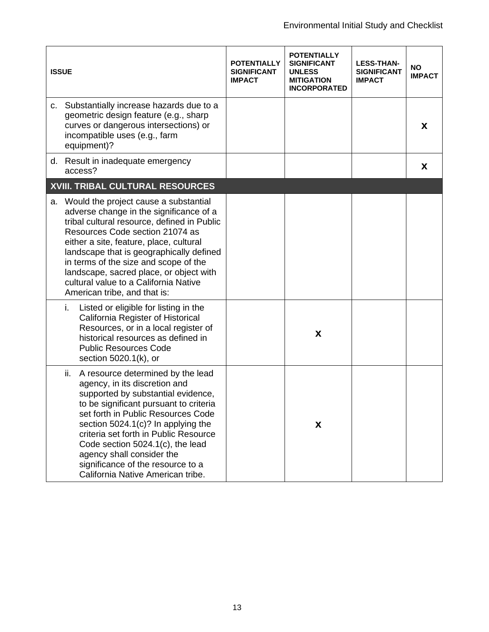| <b>ISSUE</b> |                                                                                                                                                                                                                                                                                                                                                                                                                           | <b>POTENTIALLY</b><br><b>SIGNIFICANT</b><br>IMPACT | <b>POTENTIALLY</b><br><b>SIGNIFICANT</b><br><b>UNLESS</b><br><b>MITIGATION</b><br><b>INCORPORATED</b> | <b>LESS-THAN-</b><br><b>SIGNIFICANT</b><br><b>IMPACT</b> | <b>NO</b><br><b>IMPACT</b> |
|--------------|---------------------------------------------------------------------------------------------------------------------------------------------------------------------------------------------------------------------------------------------------------------------------------------------------------------------------------------------------------------------------------------------------------------------------|----------------------------------------------------|-------------------------------------------------------------------------------------------------------|----------------------------------------------------------|----------------------------|
| C.           | Substantially increase hazards due to a<br>geometric design feature (e.g., sharp<br>curves or dangerous intersections) or<br>incompatible uses (e.g., farm<br>equipment)?                                                                                                                                                                                                                                                 |                                                    |                                                                                                       |                                                          | X                          |
|              | d. Result in inadequate emergency<br>access?                                                                                                                                                                                                                                                                                                                                                                              |                                                    |                                                                                                       |                                                          | X                          |
|              | XVIII. TRIBAL CULTURAL RESOURCES                                                                                                                                                                                                                                                                                                                                                                                          |                                                    |                                                                                                       |                                                          |                            |
| а.           | Would the project cause a substantial<br>adverse change in the significance of a<br>tribal cultural resource, defined in Public<br>Resources Code section 21074 as<br>either a site, feature, place, cultural<br>landscape that is geographically defined<br>in terms of the size and scope of the<br>landscape, sacred place, or object with<br>cultural value to a California Native<br>American tribe, and that is:    |                                                    |                                                                                                       |                                                          |                            |
|              | i.<br>Listed or eligible for listing in the<br>California Register of Historical<br>Resources, or in a local register of<br>historical resources as defined in<br><b>Public Resources Code</b><br>section 5020.1(k), or                                                                                                                                                                                                   |                                                    | X                                                                                                     |                                                          |                            |
|              | A resource determined by the lead<br>ii.<br>agency, in its discretion and<br>supported by substantial evidence,<br>to be significant pursuant to criteria<br>set forth in Public Resources Code<br>section 5024.1(c)? In applying the<br>criteria set forth in Public Resource<br>Code section 5024.1(c), the lead<br>agency shall consider the<br>significance of the resource to a<br>California Native American tribe. |                                                    | X                                                                                                     |                                                          |                            |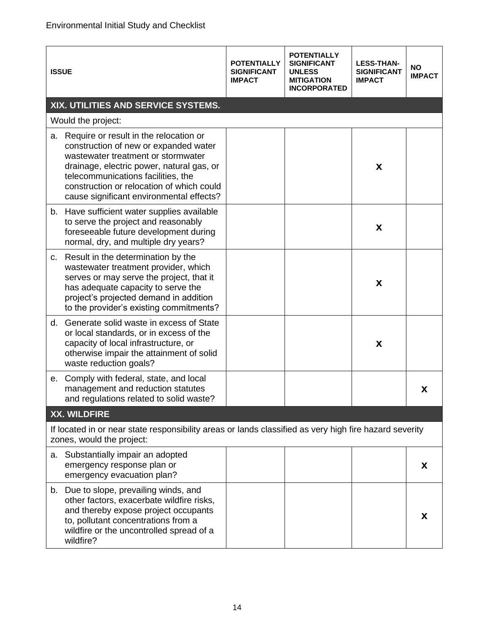|    | <b>ISSUE</b>                                                                                                                                                                                                                                                                                      | <b>POTENTIALLY</b><br><b>SIGNIFICANT</b><br><b>IMPACT</b> | <b>POTENTIALLY</b><br><b>SIGNIFICANT</b><br><b>UNLESS</b><br><b>MITIGATION</b><br><b>INCORPORATED</b> | <b>LESS-THAN-</b><br><b>SIGNIFICANT</b><br><b>IMPACT</b> | <b>NO</b><br><b>IMPACT</b> |
|----|---------------------------------------------------------------------------------------------------------------------------------------------------------------------------------------------------------------------------------------------------------------------------------------------------|-----------------------------------------------------------|-------------------------------------------------------------------------------------------------------|----------------------------------------------------------|----------------------------|
|    | XIX. UTILITIES AND SERVICE SYSTEMS.                                                                                                                                                                                                                                                               |                                                           |                                                                                                       |                                                          |                            |
|    | Would the project:                                                                                                                                                                                                                                                                                |                                                           |                                                                                                       |                                                          |                            |
| a. | Require or result in the relocation or<br>construction of new or expanded water<br>wastewater treatment or stormwater<br>drainage, electric power, natural gas, or<br>telecommunications facilities, the<br>construction or relocation of which could<br>cause significant environmental effects? |                                                           |                                                                                                       | X                                                        |                            |
|    | b. Have sufficient water supplies available<br>to serve the project and reasonably<br>foreseeable future development during<br>normal, dry, and multiple dry years?                                                                                                                               |                                                           |                                                                                                       | X                                                        |                            |
| C. | Result in the determination by the<br>wastewater treatment provider, which<br>serves or may serve the project, that it<br>has adequate capacity to serve the<br>project's projected demand in addition<br>to the provider's existing commitments?                                                 |                                                           |                                                                                                       | X                                                        |                            |
| d. | Generate solid waste in excess of State<br>or local standards, or in excess of the<br>capacity of local infrastructure, or<br>otherwise impair the attainment of solid<br>waste reduction goals?                                                                                                  |                                                           |                                                                                                       | X                                                        |                            |
|    | e. Comply with federal, state, and local<br>management and reduction statutes<br>and regulations related to solid waste?                                                                                                                                                                          |                                                           |                                                                                                       |                                                          | X                          |
|    | <b>XX. WILDFIRE</b>                                                                                                                                                                                                                                                                               |                                                           |                                                                                                       |                                                          |                            |
|    | If located in or near state responsibility areas or lands classified as very high fire hazard severity<br>zones, would the project:                                                                                                                                                               |                                                           |                                                                                                       |                                                          |                            |
|    | a. Substantially impair an adopted<br>emergency response plan or<br>emergency evacuation plan?                                                                                                                                                                                                    |                                                           |                                                                                                       |                                                          | X                          |
| b. | Due to slope, prevailing winds, and<br>other factors, exacerbate wildfire risks,<br>and thereby expose project occupants<br>to, pollutant concentrations from a<br>wildfire or the uncontrolled spread of a<br>wildfire?                                                                          |                                                           |                                                                                                       |                                                          | X                          |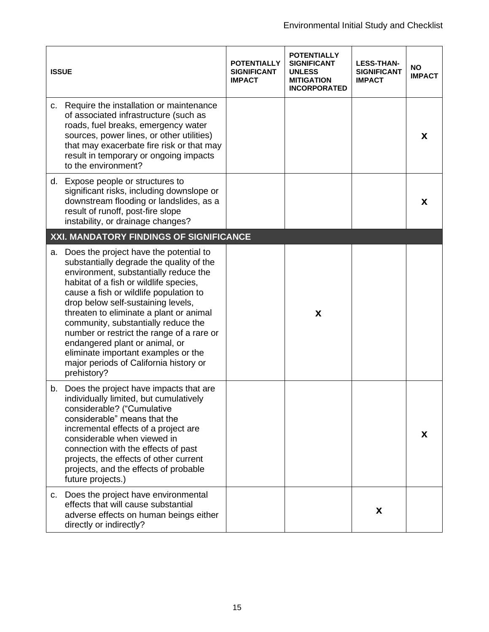| <b>ISSUE</b>                            |                                                                                                                                                                                                                                                                                                                                                                                                                                                                                                                        | <b>POTENTIALLY</b><br><b>SIGNIFICANT</b><br><b>IMPACT</b> | <b>POTENTIALLY</b><br><b>SIGNIFICANT</b><br><b>UNLESS</b><br><b>MITIGATION</b><br><b>INCORPORATED</b> | <b>LESS-THAN-</b><br><b>SIGNIFICANT</b><br><b>IMPACT</b> | <b>NO</b><br><b>IMPACT</b> |
|-----------------------------------------|------------------------------------------------------------------------------------------------------------------------------------------------------------------------------------------------------------------------------------------------------------------------------------------------------------------------------------------------------------------------------------------------------------------------------------------------------------------------------------------------------------------------|-----------------------------------------------------------|-------------------------------------------------------------------------------------------------------|----------------------------------------------------------|----------------------------|
| C.                                      | Require the installation or maintenance<br>of associated infrastructure (such as<br>roads, fuel breaks, emergency water<br>sources, power lines, or other utilities)<br>that may exacerbate fire risk or that may<br>result in temporary or ongoing impacts<br>to the environment?                                                                                                                                                                                                                                     |                                                           |                                                                                                       |                                                          | X                          |
| d.                                      | Expose people or structures to<br>significant risks, including downslope or<br>downstream flooding or landslides, as a<br>result of runoff, post-fire slope<br>instability, or drainage changes?                                                                                                                                                                                                                                                                                                                       |                                                           |                                                                                                       |                                                          | X                          |
| XXI. MANDATORY FINDINGS OF SIGNIFICANCE |                                                                                                                                                                                                                                                                                                                                                                                                                                                                                                                        |                                                           |                                                                                                       |                                                          |                            |
| a.                                      | Does the project have the potential to<br>substantially degrade the quality of the<br>environment, substantially reduce the<br>habitat of a fish or wildlife species,<br>cause a fish or wildlife population to<br>drop below self-sustaining levels,<br>threaten to eliminate a plant or animal<br>community, substantially reduce the<br>number or restrict the range of a rare or<br>endangered plant or animal, or<br>eliminate important examples or the<br>major periods of California history or<br>prehistory? |                                                           | $\boldsymbol{\mathsf{X}}$                                                                             |                                                          |                            |
|                                         | b. Does the project have impacts that are<br>individually limited, but cumulatively<br>considerable? ("Cumulative<br>considerable" means that the<br>incremental effects of a project are<br>considerable when viewed in<br>connection with the effects of past<br>projects, the effects of other current<br>projects, and the effects of probable<br>future projects.)                                                                                                                                                |                                                           |                                                                                                       |                                                          | X                          |
|                                         | c. Does the project have environmental<br>effects that will cause substantial<br>adverse effects on human beings either<br>directly or indirectly?                                                                                                                                                                                                                                                                                                                                                                     |                                                           |                                                                                                       | X                                                        |                            |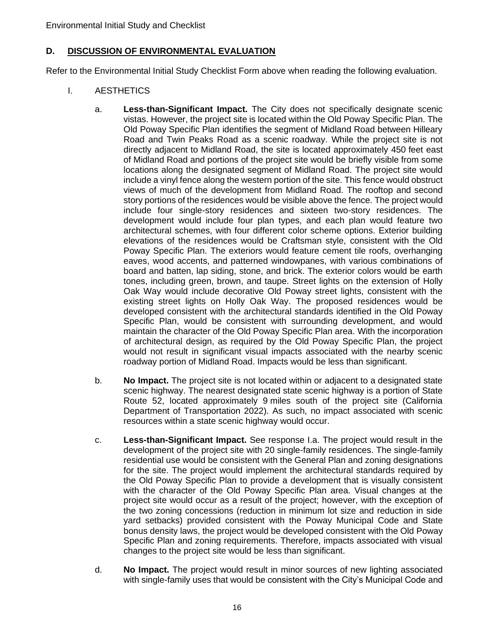## **D. DISCUSSION OF ENVIRONMENTAL EVALUATION**

Refer to the Environmental Initial Study Checklist Form above when reading the following evaluation.

- I. AESTHETICS
	- a. **Less-than-Significant Impact.** The City does not specifically designate scenic vistas. However, the project site is located within the Old Poway Specific Plan. The Old Poway Specific Plan identifies the segment of Midland Road between Hilleary Road and Twin Peaks Road as a scenic roadway. While the project site is not directly adjacent to Midland Road, the site is located approximately 450 feet east of Midland Road and portions of the project site would be briefly visible from some locations along the designated segment of Midland Road. The project site would include a vinyl fence along the western portion of the site. This fence would obstruct views of much of the development from Midland Road. The rooftop and second story portions of the residences would be visible above the fence. The project would include four single-story residences and sixteen two-story residences. The development would include four plan types, and each plan would feature two architectural schemes, with four different color scheme options. Exterior building elevations of the residences would be Craftsman style, consistent with the Old Poway Specific Plan. The exteriors would feature cement tile roofs, overhanging eaves, wood accents, and patterned windowpanes, with various combinations of board and batten, lap siding, stone, and brick. The exterior colors would be earth tones, including green, brown, and taupe. Street lights on the extension of Holly Oak Way would include decorative Old Poway street lights, consistent with the existing street lights on Holly Oak Way. The proposed residences would be developed consistent with the architectural standards identified in the Old Poway Specific Plan, would be consistent with surrounding development, and would maintain the character of the Old Poway Specific Plan area. With the incorporation of architectural design, as required by the Old Poway Specific Plan, the project would not result in significant visual impacts associated with the nearby scenic roadway portion of Midland Road. Impacts would be less than significant.
	- b. **No Impact.** The project site is not located within or adjacent to a designated state scenic highway. The nearest designated state scenic highway is a portion of State Route 52, located approximately 9 miles south of the project site (California Department of Transportation 2022). As such, no impact associated with scenic resources within a state scenic highway would occur.
	- c. **Less-than-Significant Impact.** See response I.a. The project would result in the development of the project site with 20 single-family residences. The single-family residential use would be consistent with the General Plan and zoning designations for the site. The project would implement the architectural standards required by the Old Poway Specific Plan to provide a development that is visually consistent with the character of the Old Poway Specific Plan area. Visual changes at the project site would occur as a result of the project; however, with the exception of the two zoning concessions (reduction in minimum lot size and reduction in side yard setbacks) provided consistent with the Poway Municipal Code and State bonus density laws, the project would be developed consistent with the Old Poway Specific Plan and zoning requirements. Therefore, impacts associated with visual changes to the project site would be less than significant.
	- d. **No Impact.** The project would result in minor sources of new lighting associated with single-family uses that would be consistent with the City's Municipal Code and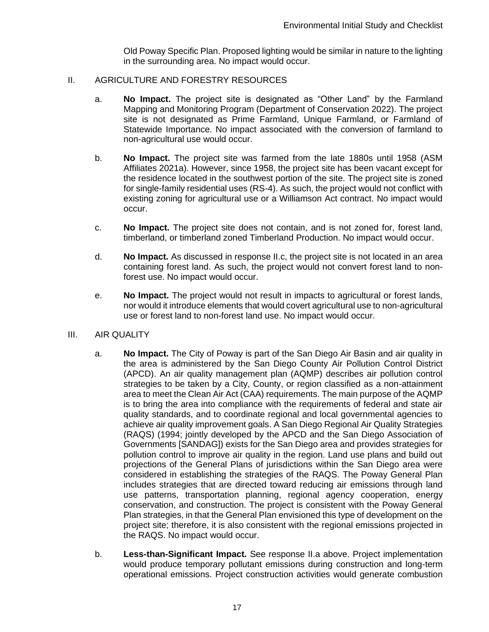Old Poway Specific Plan. Proposed lighting would be similar in nature to the lighting in the surrounding area. No impact would occur.

#### II. AGRICULTURE AND FORESTRY RESOURCES

- a. **No Impact.** The project site is designated as "Other Land" by the Farmland Mapping and Monitoring Program (Department of Conservation 2022). The project site is not designated as Prime Farmland, Unique Farmland, or Farmland of Statewide Importance. No impact associated with the conversion of farmland to non-agricultural use would occur.
- b. **No Impact.** The project site was farmed from the late 1880s until 1958 (ASM Affiliates 2021a). However, since 1958, the project site has been vacant except for the residence located in the southwest portion of the site. The project site is zoned for single-family residential uses (RS-4). As such, the project would not conflict with existing zoning for agricultural use or a Williamson Act contract. No impact would occur.
- c. **No Impact.** The project site does not contain, and is not zoned for, forest land, timberland, or timberland zoned Timberland Production. No impact would occur.
- d. **No Impact.** As discussed in response II.c, the project site is not located in an area containing forest land. As such, the project would not convert forest land to nonforest use. No impact would occur.
- e. **No Impact.** The project would not result in impacts to agricultural or forest lands, nor would it introduce elements that would covert agricultural use to non-agricultural use or forest land to non-forest land use. No impact would occur.
- III. AIR QUALITY
	- a. **No Impact.** The City of Poway is part of the San Diego Air Basin and air quality in the area is administered by the San Diego County Air Pollution Control District (APCD). An air quality management plan (AQMP) describes air pollution control strategies to be taken by a City, County, or region classified as a non-attainment area to meet the Clean Air Act (CAA) requirements. The main purpose of the AQMP is to bring the area into compliance with the requirements of federal and state air quality standards, and to coordinate regional and local governmental agencies to achieve air quality improvement goals. A San Diego Regional Air Quality Strategies (RAQS) (1994; jointly developed by the APCD and the San Diego Association of Governments [SANDAG]) exists for the San Diego area and provides strategies for pollution control to improve air quality in the region. Land use plans and build out projections of the General Plans of jurisdictions within the San Diego area were considered in establishing the strategies of the RAQS. The Poway General Plan includes strategies that are directed toward reducing air emissions through land use patterns, transportation planning, regional agency cooperation, energy conservation, and construction. The project is consistent with the Poway General Plan strategies, in that the General Plan envisioned this type of development on the project site; therefore, it is also consistent with the regional emissions projected in the RAQS. No impact would occur.
	- b. **Less-than-Significant Impact.** See response II.a above. Project implementation would produce temporary pollutant emissions during construction and long-term operational emissions. Project construction activities would generate combustion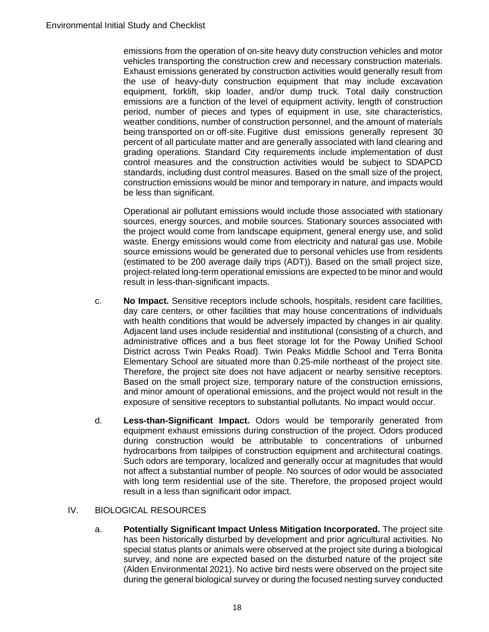emissions from the operation of on-site heavy duty construction vehicles and motor vehicles transporting the construction crew and necessary construction materials. Exhaust emissions generated by construction activities would generally result from the use of heavy-duty construction equipment that may include excavation equipment, forklift, skip loader, and/or dump truck. Total daily construction emissions are a function of the level of equipment activity, length of construction period, number of pieces and types of equipment in use, site characteristics, weather conditions, number of construction personnel, and the amount of materials being transported on or off-site. Fugitive dust emissions generally represent 30 percent of all particulate matter and are generally associated with land clearing and grading operations. Standard City requirements include implementation of dust control measures and the construction activities would be subject to SDAPCD standards, including dust control measures. Based on the small size of the project, construction emissions would be minor and temporary in nature, and impacts would be less than significant.

Operational air pollutant emissions would include those associated with stationary sources, energy sources, and mobile sources. Stationary sources associated with the project would come from landscape equipment, general energy use, and solid waste. Energy emissions would come from electricity and natural gas use. Mobile source emissions would be generated due to personal vehicles use from residents (estimated to be 200 average daily trips (ADT)). Based on the small project size, project-related long-term operational emissions are expected to be minor and would result in less-than-significant impacts.

- c. **No Impact.** Sensitive receptors include schools, hospitals, resident care facilities, day care centers, or other facilities that may house concentrations of individuals with health conditions that would be adversely impacted by changes in air quality. Adjacent land uses include residential and institutional (consisting of a church, and administrative offices and a bus fleet storage lot for the Poway Unified School District across Twin Peaks Road). Twin Peaks Middle School and Terra Bonita Elementary School are situated more than 0.25-mile northeast of the project site. Therefore, the project site does not have adjacent or nearby sensitive receptors. Based on the small project size, temporary nature of the construction emissions, and minor amount of operational emissions, and the project would not result in the exposure of sensitive receptors to substantial pollutants. No impact would occur.
- d. **Less-than-Significant Impact.** Odors would be temporarily generated from equipment exhaust emissions during construction of the project. Odors produced during construction would be attributable to concentrations of unburned hydrocarbons from tailpipes of construction equipment and architectural coatings. Such odors are temporary, localized and generally occur at magnitudes that would not affect a substantial number of people. No sources of odor would be associated with long term residential use of the site. Therefore, the proposed project would result in a less than significant odor impact.

## IV. BIOLOGICAL RESOURCES

a. **Potentially Significant Impact Unless Mitigation Incorporated.** The project site has been historically disturbed by development and prior agricultural activities. No special status plants or animals were observed at the project site during a biological survey, and none are expected based on the disturbed nature of the project site (Alden Environmental 2021). No active bird nests were observed on the project site during the general biological survey or during the focused nesting survey conducted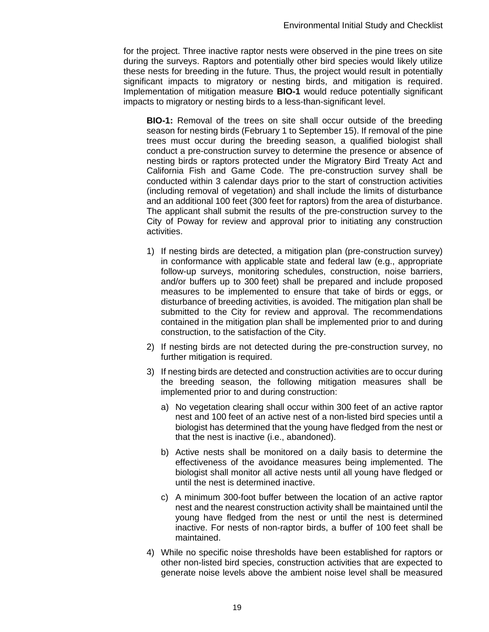for the project. Three inactive raptor nests were observed in the pine trees on site during the surveys. Raptors and potentially other bird species would likely utilize these nests for breeding in the future. Thus, the project would result in potentially significant impacts to migratory or nesting birds, and mitigation is required. Implementation of mitigation measure **BIO-1** would reduce potentially significant impacts to migratory or nesting birds to a less-than-significant level.

**BIO-1:** Removal of the trees on site shall occur outside of the breeding season for nesting birds (February 1 to September 15). If removal of the pine trees must occur during the breeding season, a qualified biologist shall conduct a pre-construction survey to determine the presence or absence of nesting birds or raptors protected under the Migratory Bird Treaty Act and California Fish and Game Code. The pre-construction survey shall be conducted within 3 calendar days prior to the start of construction activities (including removal of vegetation) and shall include the limits of disturbance and an additional 100 feet (300 feet for raptors) from the area of disturbance. The applicant shall submit the results of the pre-construction survey to the City of Poway for review and approval prior to initiating any construction activities.

- 1) If nesting birds are detected, a mitigation plan (pre-construction survey) in conformance with applicable state and federal law (e.g., appropriate follow-up surveys, monitoring schedules, construction, noise barriers, and/or buffers up to 300 feet) shall be prepared and include proposed measures to be implemented to ensure that take of birds or eggs, or disturbance of breeding activities, is avoided. The mitigation plan shall be submitted to the City for review and approval. The recommendations contained in the mitigation plan shall be implemented prior to and during construction, to the satisfaction of the City.
- 2) If nesting birds are not detected during the pre-construction survey, no further mitigation is required.
- 3) If nesting birds are detected and construction activities are to occur during the breeding season, the following mitigation measures shall be implemented prior to and during construction:
	- a) No vegetation clearing shall occur within 300 feet of an active raptor nest and 100 feet of an active nest of a non-listed bird species until a biologist has determined that the young have fledged from the nest or that the nest is inactive (i.e., abandoned).
	- b) Active nests shall be monitored on a daily basis to determine the effectiveness of the avoidance measures being implemented. The biologist shall monitor all active nests until all young have fledged or until the nest is determined inactive.
	- c) A minimum 300-foot buffer between the location of an active raptor nest and the nearest construction activity shall be maintained until the young have fledged from the nest or until the nest is determined inactive. For nests of non-raptor birds, a buffer of 100 feet shall be maintained.
- 4) While no specific noise thresholds have been established for raptors or other non-listed bird species, construction activities that are expected to generate noise levels above the ambient noise level shall be measured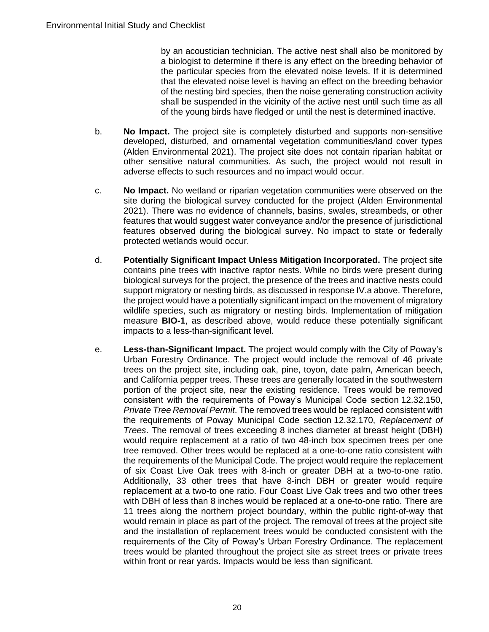by an acoustician technician. The active nest shall also be monitored by a biologist to determine if there is any effect on the breeding behavior of the particular species from the elevated noise levels. If it is determined that the elevated noise level is having an effect on the breeding behavior of the nesting bird species, then the noise generating construction activity shall be suspended in the vicinity of the active nest until such time as all of the young birds have fledged or until the nest is determined inactive.

- b. **No Impact.** The project site is completely disturbed and supports non-sensitive developed, disturbed, and ornamental vegetation communities/land cover types (Alden Environmental 2021). The project site does not contain riparian habitat or other sensitive natural communities. As such, the project would not result in adverse effects to such resources and no impact would occur.
- c. **No Impact.** No wetland or riparian vegetation communities were observed on the site during the biological survey conducted for the project (Alden Environmental 2021). There was no evidence of channels, basins, swales, streambeds, or other features that would suggest water conveyance and/or the presence of jurisdictional features observed during the biological survey. No impact to state or federally protected wetlands would occur.
- d. **Potentially Significant Impact Unless Mitigation Incorporated.** The project site contains pine trees with inactive raptor nests. While no birds were present during biological surveys for the project, the presence of the trees and inactive nests could support migratory or nesting birds, as discussed in response IV.a above. Therefore, the project would have a potentially significant impact on the movement of migratory wildlife species, such as migratory or nesting birds. Implementation of mitigation measure **BIO-1**, as described above, would reduce these potentially significant impacts to a less-than-significant level.
- e. **Less-than-Significant Impact.** The project would comply with the City of Poway's Urban Forestry Ordinance. The project would include the removal of 46 private trees on the project site, including oak, pine, toyon, date palm, American beech, and California pepper trees. These trees are generally located in the southwestern portion of the project site, near the existing residence. Trees would be removed consistent with the requirements of Poway's Municipal Code section 12.32.150, *Private Tree Removal Permit*. The removed trees would be replaced consistent with the requirements of Poway Municipal Code section 12.32.170, *Replacement of Trees*. The removal of trees exceeding 8 inches diameter at breast height (DBH) would require replacement at a ratio of two 48-inch box specimen trees per one tree removed. Other trees would be replaced at a one-to-one ratio consistent with the requirements of the Municipal Code. The project would require the replacement of six Coast Live Oak trees with 8-inch or greater DBH at a two-to-one ratio. Additionally, 33 other trees that have 8-inch DBH or greater would require replacement at a two-to one ratio. Four Coast Live Oak trees and two other trees with DBH of less than 8 inches would be replaced at a one-to-one ratio. There are 11 trees along the northern project boundary, within the public right-of-way that would remain in place as part of the project. The removal of trees at the project site and the installation of replacement trees would be conducted consistent with the requirements of the City of Poway's Urban Forestry Ordinance. The replacement trees would be planted throughout the project site as street trees or private trees within front or rear yards. Impacts would be less than significant.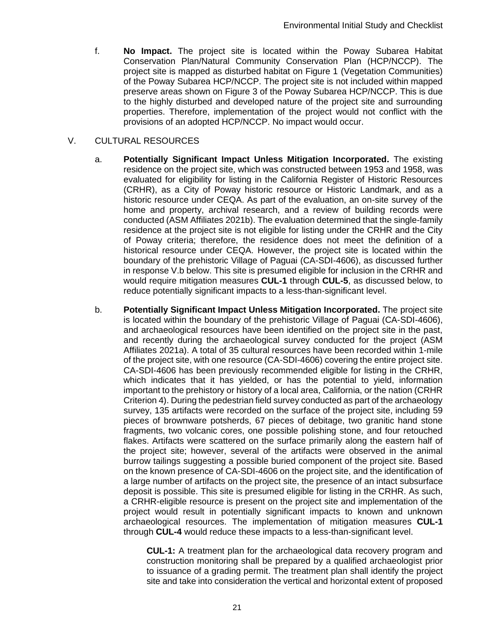f. **No Impact.** The project site is located within the Poway Subarea Habitat Conservation Plan/Natural Community Conservation Plan (HCP/NCCP). The project site is mapped as disturbed habitat on Figure 1 (Vegetation Communities) of the Poway Subarea HCP/NCCP. The project site is not included within mapped preserve areas shown on Figure 3 of the Poway Subarea HCP/NCCP. This is due to the highly disturbed and developed nature of the project site and surrounding properties. Therefore, implementation of the project would not conflict with the provisions of an adopted HCP/NCCP. No impact would occur.

## V. CULTURAL RESOURCES

- a. **Potentially Significant Impact Unless Mitigation Incorporated.** The existing residence on the project site, which was constructed between 1953 and 1958, was evaluated for eligibility for listing in the California Register of Historic Resources (CRHR), as a City of Poway historic resource or Historic Landmark, and as a historic resource under CEQA. As part of the evaluation, an on-site survey of the home and property, archival research, and a review of building records were conducted (ASM Affiliates 2021b). The evaluation determined that the single-family residence at the project site is not eligible for listing under the CRHR and the City of Poway criteria; therefore, the residence does not meet the definition of a historical resource under CEQA. However, the project site is located within the boundary of the prehistoric Village of Paguai (CA-SDI-4606), as discussed further in response V.b below. This site is presumed eligible for inclusion in the CRHR and would require mitigation measures **CUL-1** through **CUL-5**, as discussed below, to reduce potentially significant impacts to a less-than-significant level.
- b. **Potentially Significant Impact Unless Mitigation Incorporated.** The project site is located within the boundary of the prehistoric Village of Paguai (CA-SDI-4606), and archaeological resources have been identified on the project site in the past, and recently during the archaeological survey conducted for the project (ASM Affiliates 2021a). A total of 35 cultural resources have been recorded within 1-mile of the project site, with one resource (CA-SDI-4606) covering the entire project site. CA-SDI-4606 has been previously recommended eligible for listing in the CRHR, which indicates that it has yielded, or has the potential to yield, information important to the prehistory or history of a local area, California, or the nation (CRHR Criterion 4). During the pedestrian field survey conducted as part of the archaeology survey, 135 artifacts were recorded on the surface of the project site, including 59 pieces of brownware potsherds, 67 pieces of debitage, two granitic hand stone fragments, two volcanic cores, one possible polishing stone, and four retouched flakes. Artifacts were scattered on the surface primarily along the eastern half of the project site; however, several of the artifacts were observed in the animal burrow tailings suggesting a possible buried component of the project site. Based on the known presence of CA-SDI-4606 on the project site, and the identification of a large number of artifacts on the project site, the presence of an intact subsurface deposit is possible. This site is presumed eligible for listing in the CRHR. As such, a CRHR-eligible resource is present on the project site and implementation of the project would result in potentially significant impacts to known and unknown archaeological resources. The implementation of mitigation measures **CUL-1** through **CUL-4** would reduce these impacts to a less-than-significant level.

**CUL-1:** A treatment plan for the archaeological data recovery program and construction monitoring shall be prepared by a qualified archaeologist prior to issuance of a grading permit. The treatment plan shall identify the project site and take into consideration the vertical and horizontal extent of proposed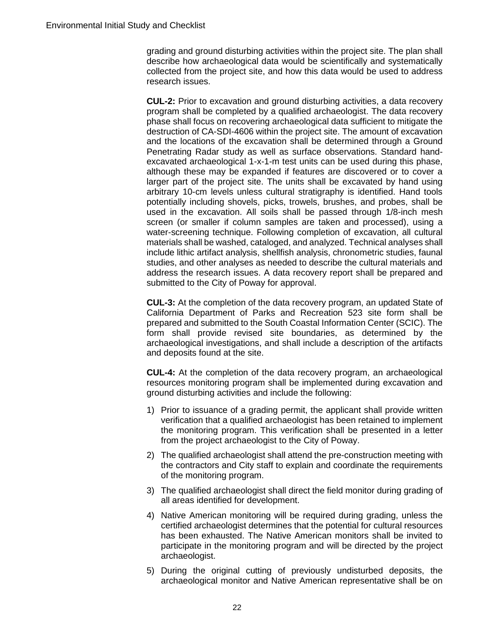grading and ground disturbing activities within the project site. The plan shall describe how archaeological data would be scientifically and systematically collected from the project site, and how this data would be used to address research issues.

**CUL-2:** Prior to excavation and ground disturbing activities, a data recovery program shall be completed by a qualified archaeologist. The data recovery phase shall focus on recovering archaeological data sufficient to mitigate the destruction of CA-SDI-4606 within the project site. The amount of excavation and the locations of the excavation shall be determined through a Ground Penetrating Radar study as well as surface observations. Standard handexcavated archaeological 1-x-1-m test units can be used during this phase, although these may be expanded if features are discovered or to cover a larger part of the project site. The units shall be excavated by hand using arbitrary 10-cm levels unless cultural stratigraphy is identified. Hand tools potentially including shovels, picks, trowels, brushes, and probes, shall be used in the excavation. All soils shall be passed through 1/8-inch mesh screen (or smaller if column samples are taken and processed), using a water-screening technique. Following completion of excavation, all cultural materials shall be washed, cataloged, and analyzed. Technical analyses shall include lithic artifact analysis, shellfish analysis, chronometric studies, faunal studies, and other analyses as needed to describe the cultural materials and address the research issues. A data recovery report shall be prepared and submitted to the City of Poway for approval.

**CUL-3:** At the completion of the data recovery program, an updated State of California Department of Parks and Recreation 523 site form shall be prepared and submitted to the South Coastal Information Center (SCIC). The form shall provide revised site boundaries, as determined by the archaeological investigations, and shall include a description of the artifacts and deposits found at the site.

**CUL-4:** At the completion of the data recovery program, an archaeological resources monitoring program shall be implemented during excavation and ground disturbing activities and include the following:

- 1) Prior to issuance of a grading permit, the applicant shall provide written verification that a qualified archaeologist has been retained to implement the monitoring program. This verification shall be presented in a letter from the project archaeologist to the City of Poway.
- 2) The qualified archaeologist shall attend the pre-construction meeting with the contractors and City staff to explain and coordinate the requirements of the monitoring program.
- 3) The qualified archaeologist shall direct the field monitor during grading of all areas identified for development.
- 4) Native American monitoring will be required during grading, unless the certified archaeologist determines that the potential for cultural resources has been exhausted. The Native American monitors shall be invited to participate in the monitoring program and will be directed by the project archaeologist.
- 5) During the original cutting of previously undisturbed deposits, the archaeological monitor and Native American representative shall be on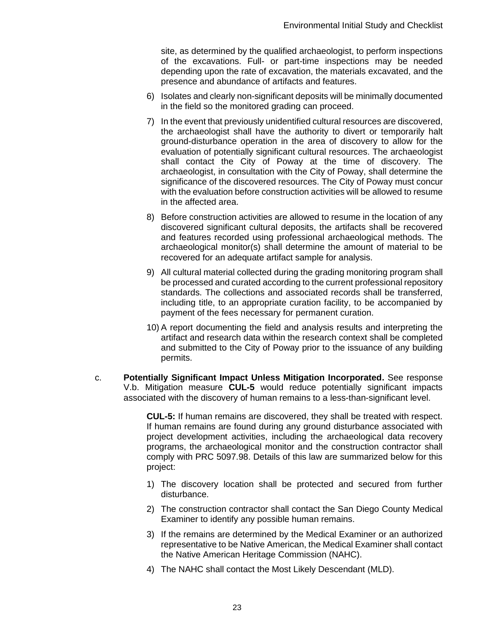site, as determined by the qualified archaeologist, to perform inspections of the excavations. Full- or part-time inspections may be needed depending upon the rate of excavation, the materials excavated, and the presence and abundance of artifacts and features.

- 6) Isolates and clearly non-significant deposits will be minimally documented in the field so the monitored grading can proceed.
- 7) In the event that previously unidentified cultural resources are discovered, the archaeologist shall have the authority to divert or temporarily halt ground-disturbance operation in the area of discovery to allow for the evaluation of potentially significant cultural resources. The archaeologist shall contact the City of Poway at the time of discovery. The archaeologist, in consultation with the City of Poway, shall determine the significance of the discovered resources. The City of Poway must concur with the evaluation before construction activities will be allowed to resume in the affected area.
- 8) Before construction activities are allowed to resume in the location of any discovered significant cultural deposits, the artifacts shall be recovered and features recorded using professional archaeological methods. The archaeological monitor(s) shall determine the amount of material to be recovered for an adequate artifact sample for analysis.
- 9) All cultural material collected during the grading monitoring program shall be processed and curated according to the current professional repository standards. The collections and associated records shall be transferred, including title, to an appropriate curation facility, to be accompanied by payment of the fees necessary for permanent curation.
- 10) A report documenting the field and analysis results and interpreting the artifact and research data within the research context shall be completed and submitted to the City of Poway prior to the issuance of any building permits.
- c. **Potentially Significant Impact Unless Mitigation Incorporated.** See response V.b. Mitigation measure **CUL-5** would reduce potentially significant impacts associated with the discovery of human remains to a less-than-significant level.

**CUL-5:** If human remains are discovered, they shall be treated with respect. If human remains are found during any ground disturbance associated with project development activities, including the archaeological data recovery programs, the archaeological monitor and the construction contractor shall comply with PRC 5097.98. Details of this law are summarized below for this project:

- 1) The discovery location shall be protected and secured from further disturbance.
- 2) The construction contractor shall contact the San Diego County Medical Examiner to identify any possible human remains.
- 3) If the remains are determined by the Medical Examiner or an authorized representative to be Native American, the Medical Examiner shall contact the Native American Heritage Commission (NAHC).
- 4) The NAHC shall contact the Most Likely Descendant (MLD).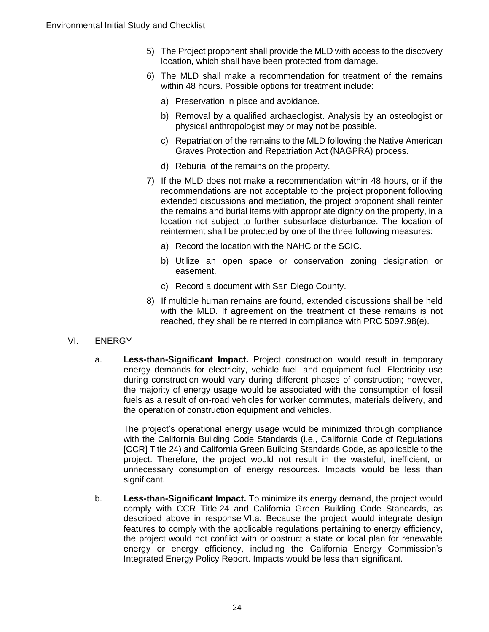- 5) The Project proponent shall provide the MLD with access to the discovery location, which shall have been protected from damage.
- 6) The MLD shall make a recommendation for treatment of the remains within 48 hours. Possible options for treatment include:
	- a) Preservation in place and avoidance.
	- b) Removal by a qualified archaeologist. Analysis by an osteologist or physical anthropologist may or may not be possible.
	- c) Repatriation of the remains to the MLD following the Native American Graves Protection and Repatriation Act (NAGPRA) process.
	- d) Reburial of the remains on the property.
- 7) If the MLD does not make a recommendation within 48 hours, or if the recommendations are not acceptable to the project proponent following extended discussions and mediation, the project proponent shall reinter the remains and burial items with appropriate dignity on the property, in a location not subject to further subsurface disturbance. The location of reinterment shall be protected by one of the three following measures:
	- a) Record the location with the NAHC or the SCIC.
	- b) Utilize an open space or conservation zoning designation or easement.
	- c) Record a document with San Diego County.
- 8) If multiple human remains are found, extended discussions shall be held with the MLD. If agreement on the treatment of these remains is not reached, they shall be reinterred in compliance with PRC 5097.98(e).

#### VI. ENERGY

a. **Less-than-Significant Impact.** Project construction would result in temporary energy demands for electricity, vehicle fuel, and equipment fuel. Electricity use during construction would vary during different phases of construction; however, the majority of energy usage would be associated with the consumption of fossil fuels as a result of on-road vehicles for worker commutes, materials delivery, and the operation of construction equipment and vehicles.

The project's operational energy usage would be minimized through compliance with the California Building Code Standards (i.e., California Code of Regulations [CCR] Title 24) and California Green Building Standards Code, as applicable to the project. Therefore, the project would not result in the wasteful, inefficient, or unnecessary consumption of energy resources. Impacts would be less than significant.

b. **Less-than-Significant Impact.** To minimize its energy demand, the project would comply with CCR Title 24 and California Green Building Code Standards, as described above in response VI.a. Because the project would integrate design features to comply with the applicable regulations pertaining to energy efficiency, the project would not conflict with or obstruct a state or local plan for renewable energy or energy efficiency, including the California Energy Commission's Integrated Energy Policy Report. Impacts would be less than significant.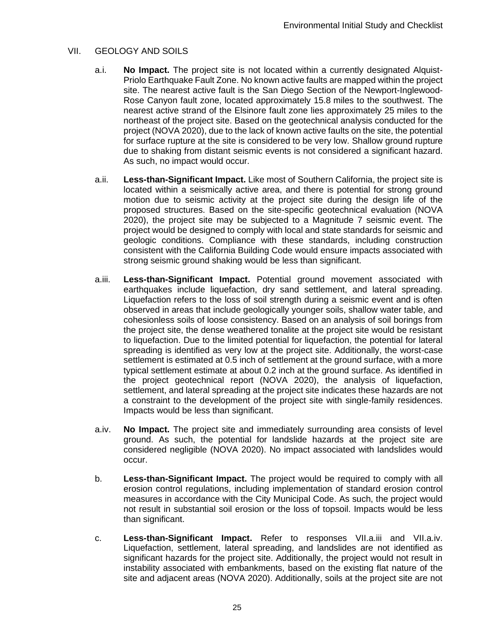## VII. GEOLOGY AND SOILS

- a.i. **No Impact.** The project site is not located within a currently designated Alquist-Priolo Earthquake Fault Zone. No known active faults are mapped within the project site. The nearest active fault is the San Diego Section of the Newport-Inglewood-Rose Canyon fault zone, located approximately 15.8 miles to the southwest. The nearest active strand of the Elsinore fault zone lies approximately 25 miles to the northeast of the project site. Based on the geotechnical analysis conducted for the project (NOVA 2020), due to the lack of known active faults on the site, the potential for surface rupture at the site is considered to be very low. Shallow ground rupture due to shaking from distant seismic events is not considered a significant hazard. As such, no impact would occur.
- a.ii. **Less-than-Significant Impact.** Like most of Southern California, the project site is located within a seismically active area, and there is potential for strong ground motion due to seismic activity at the project site during the design life of the proposed structures. Based on the site-specific geotechnical evaluation (NOVA 2020), the project site may be subjected to a Magnitude 7 seismic event. The project would be designed to comply with local and state standards for seismic and geologic conditions. Compliance with these standards, including construction consistent with the California Building Code would ensure impacts associated with strong seismic ground shaking would be less than significant.
- a.iii. **Less-than-Significant Impact.** Potential ground movement associated with earthquakes include liquefaction, dry sand settlement, and lateral spreading. Liquefaction refers to the loss of soil strength during a seismic event and is often observed in areas that include geologically younger soils, shallow water table, and cohesionless soils of loose consistency. Based on an analysis of soil borings from the project site, the dense weathered tonalite at the project site would be resistant to liquefaction. Due to the limited potential for liquefaction, the potential for lateral spreading is identified as very low at the project site. Additionally, the worst-case settlement is estimated at 0.5 inch of settlement at the ground surface, with a more typical settlement estimate at about 0.2 inch at the ground surface. As identified in the project geotechnical report (NOVA 2020), the analysis of liquefaction, settlement, and lateral spreading at the project site indicates these hazards are not a constraint to the development of the project site with single-family residences. Impacts would be less than significant.
- a.iv. **No Impact.** The project site and immediately surrounding area consists of level ground. As such, the potential for landslide hazards at the project site are considered negligible (NOVA 2020). No impact associated with landslides would occur.
- b. **Less-than-Significant Impact.** The project would be required to comply with all erosion control regulations, including implementation of standard erosion control measures in accordance with the City Municipal Code. As such, the project would not result in substantial soil erosion or the loss of topsoil. Impacts would be less than significant.
- c. **Less-than-Significant Impact.** Refer to responses VII.a.iii and VII.a.iv. Liquefaction, settlement, lateral spreading, and landslides are not identified as significant hazards for the project site. Additionally, the project would not result in instability associated with embankments, based on the existing flat nature of the site and adjacent areas (NOVA 2020). Additionally, soils at the project site are not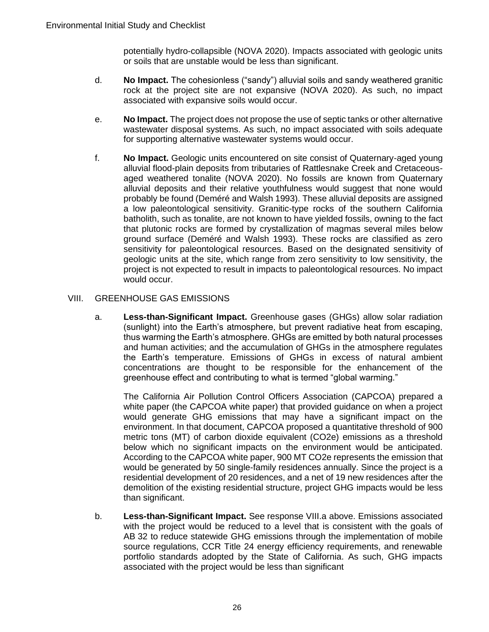potentially hydro-collapsible (NOVA 2020). Impacts associated with geologic units or soils that are unstable would be less than significant.

- d. **No Impact.** The cohesionless ("sandy") alluvial soils and sandy weathered granitic rock at the project site are not expansive (NOVA 2020). As such, no impact associated with expansive soils would occur.
- e. **No Impact.** The project does not propose the use of septic tanks or other alternative wastewater disposal systems. As such, no impact associated with soils adequate for supporting alternative wastewater systems would occur.
- f. **No Impact.** Geologic units encountered on site consist of Quaternary-aged young alluvial flood-plain deposits from tributaries of Rattlesnake Creek and Cretaceousaged weathered tonalite (NOVA 2020). No fossils are known from Quaternary alluvial deposits and their relative youthfulness would suggest that none would probably be found (Deméré and Walsh 1993). These alluvial deposits are assigned a low paleontological sensitivity. Granitic-type rocks of the southern California batholith, such as tonalite, are not known to have yielded fossils, owning to the fact that plutonic rocks are formed by crystallization of magmas several miles below ground surface (Deméré and Walsh 1993). These rocks are classified as zero sensitivity for paleontological resources. Based on the designated sensitivity of geologic units at the site, which range from zero sensitivity to low sensitivity, the project is not expected to result in impacts to paleontological resources. No impact would occur.

## VIII. GREENHOUSE GAS EMISSIONS

a. **Less-than-Significant Impact.** Greenhouse gases (GHGs) allow solar radiation (sunlight) into the Earth's atmosphere, but prevent radiative heat from escaping, thus warming the Earth's atmosphere. GHGs are emitted by both natural processes and human activities; and the accumulation of GHGs in the atmosphere regulates the Earth's temperature. Emissions of GHGs in excess of natural ambient concentrations are thought to be responsible for the enhancement of the greenhouse effect and contributing to what is termed "global warming."

The California Air Pollution Control Officers Association (CAPCOA) prepared a white paper (the CAPCOA white paper) that provided guidance on when a project would generate GHG emissions that may have a significant impact on the environment. In that document, CAPCOA proposed a quantitative threshold of 900 metric tons (MT) of carbon dioxide equivalent (CO2e) emissions as a threshold below which no significant impacts on the environment would be anticipated. According to the CAPCOA white paper, 900 MT CO2e represents the emission that would be generated by 50 single-family residences annually. Since the project is a residential development of 20 residences, and a net of 19 new residences after the demolition of the existing residential structure, project GHG impacts would be less than significant.

b. **Less-than-Significant Impact.** See response VIII.a above. Emissions associated with the project would be reduced to a level that is consistent with the goals of AB 32 to reduce statewide GHG emissions through the implementation of mobile source regulations, CCR Title 24 energy efficiency requirements, and renewable portfolio standards adopted by the State of California. As such, GHG impacts associated with the project would be less than significant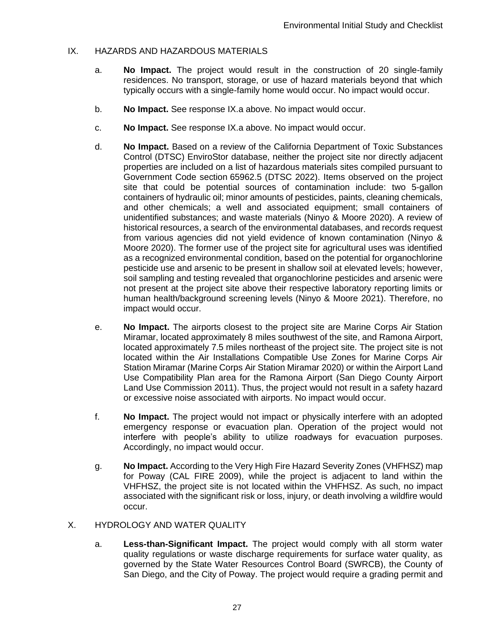## IX. HAZARDS AND HAZARDOUS MATERIALS

- a. **No Impact.** The project would result in the construction of 20 single-family residences. No transport, storage, or use of hazard materials beyond that which typically occurs with a single-family home would occur. No impact would occur.
- b. **No Impact.** See response IX.a above. No impact would occur.
- c. **No Impact.** See response IX.a above. No impact would occur.
- d. **No Impact.** Based on a review of the California Department of Toxic Substances Control (DTSC) EnviroStor database, neither the project site nor directly adjacent properties are included on a list of hazardous materials sites compiled pursuant to Government Code section 65962.5 (DTSC 2022). Items observed on the project site that could be potential sources of contamination include: two 5-gallon containers of hydraulic oil; minor amounts of pesticides, paints, cleaning chemicals, and other chemicals; a well and associated equipment; small containers of unidentified substances; and waste materials (Ninyo & Moore 2020). A review of historical resources, a search of the environmental databases, and records request from various agencies did not yield evidence of known contamination (Ninyo & Moore 2020). The former use of the project site for agricultural uses was identified as a recognized environmental condition, based on the potential for organochlorine pesticide use and arsenic to be present in shallow soil at elevated levels; however, soil sampling and testing revealed that organochlorine pesticides and arsenic were not present at the project site above their respective laboratory reporting limits or human health/background screening levels (Ninyo & Moore 2021). Therefore, no impact would occur.
- e. **No Impact.** The airports closest to the project site are Marine Corps Air Station Miramar, located approximately 8 miles southwest of the site, and Ramona Airport, located approximately 7.5 miles northeast of the project site. The project site is not located within the Air Installations Compatible Use Zones for Marine Corps Air Station Miramar (Marine Corps Air Station Miramar 2020) or within the Airport Land Use Compatibility Plan area for the Ramona Airport (San Diego County Airport Land Use Commission 2011). Thus, the project would not result in a safety hazard or excessive noise associated with airports. No impact would occur.
- f. **No Impact.** The project would not impact or physically interfere with an adopted emergency response or evacuation plan. Operation of the project would not interfere with people's ability to utilize roadways for evacuation purposes. Accordingly, no impact would occur.
- g. **No Impact.** According to the Very High Fire Hazard Severity Zones (VHFHSZ) map for Poway (CAL FIRE 2009), while the project is adjacent to land within the VHFHSZ, the project site is not located within the VHFHSZ. As such, no impact associated with the significant risk or loss, injury, or death involving a wildfire would occur.

## X. HYDROLOGY AND WATER QUALITY

a. **Less-than-Significant Impact.** The project would comply with all storm water quality regulations or waste discharge requirements for surface water quality, as governed by the State Water Resources Control Board (SWRCB), the County of San Diego, and the City of Poway. The project would require a grading permit and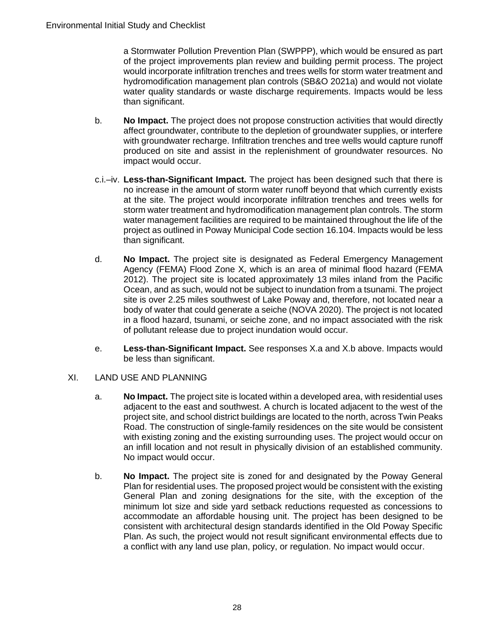a Stormwater Pollution Prevention Plan (SWPPP), which would be ensured as part of the project improvements plan review and building permit process. The project would incorporate infiltration trenches and trees wells for storm water treatment and hydromodification management plan controls (SB&O 2021a) and would not violate water quality standards or waste discharge requirements. Impacts would be less than significant.

- b. **No Impact.** The project does not propose construction activities that would directly affect groundwater, contribute to the depletion of groundwater supplies, or interfere with groundwater recharge. Infiltration trenches and tree wells would capture runoff produced on site and assist in the replenishment of groundwater resources. No impact would occur.
- c.i.–iv. **Less-than-Significant Impact.** The project has been designed such that there is no increase in the amount of storm water runoff beyond that which currently exists at the site. The project would incorporate infiltration trenches and trees wells for storm water treatment and hydromodification management plan controls. The storm water management facilities are required to be maintained throughout the life of the project as outlined in Poway Municipal Code section 16.104. Impacts would be less than significant.
- d. **No Impact.** The project site is designated as Federal Emergency Management Agency (FEMA) Flood Zone X, which is an area of minimal flood hazard (FEMA 2012). The project site is located approximately 13 miles inland from the Pacific Ocean, and as such, would not be subject to inundation from a tsunami. The project site is over 2.25 miles southwest of Lake Poway and, therefore, not located near a body of water that could generate a seiche (NOVA 2020). The project is not located in a flood hazard, tsunami, or seiche zone, and no impact associated with the risk of pollutant release due to project inundation would occur.
- e. **Less-than-Significant Impact.** See responses X.a and X.b above. Impacts would be less than significant.

## XI. LAND USE AND PLANNING

- a. **No Impact.** The project site is located within a developed area, with residential uses adjacent to the east and southwest. A church is located adjacent to the west of the project site, and school district buildings are located to the north, across Twin Peaks Road. The construction of single-family residences on the site would be consistent with existing zoning and the existing surrounding uses. The project would occur on an infill location and not result in physically division of an established community. No impact would occur.
- b. **No Impact.** The project site is zoned for and designated by the Poway General Plan for residential uses. The proposed project would be consistent with the existing General Plan and zoning designations for the site, with the exception of the minimum lot size and side yard setback reductions requested as concessions to accommodate an affordable housing unit. The project has been designed to be consistent with architectural design standards identified in the Old Poway Specific Plan. As such, the project would not result significant environmental effects due to a conflict with any land use plan, policy, or regulation. No impact would occur.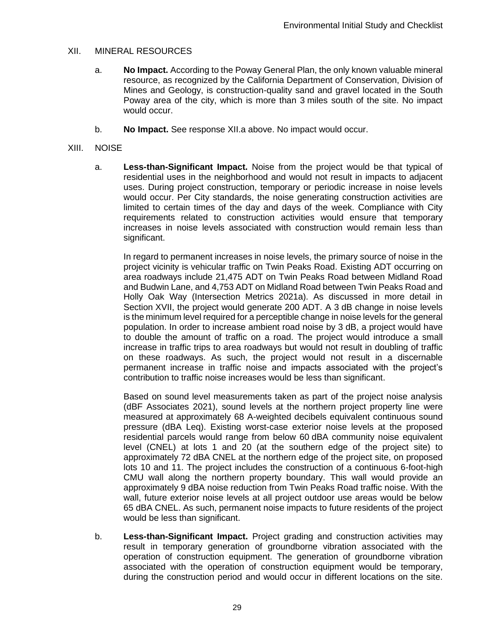#### XII. MINERAL RESOURCES

- a. **No Impact.** According to the Poway General Plan, the only known valuable mineral resource, as recognized by the California Department of Conservation, Division of Mines and Geology, is construction-quality sand and gravel located in the South Poway area of the city, which is more than 3 miles south of the site. No impact would occur.
- b. **No Impact.** See response XII.a above. No impact would occur.

#### XIII. NOISE

a. **Less-than-Significant Impact.** Noise from the project would be that typical of residential uses in the neighborhood and would not result in impacts to adjacent uses. During project construction, temporary or periodic increase in noise levels would occur. Per City standards, the noise generating construction activities are limited to certain times of the day and days of the week. Compliance with City requirements related to construction activities would ensure that temporary increases in noise levels associated with construction would remain less than significant.

In regard to permanent increases in noise levels, the primary source of noise in the project vicinity is vehicular traffic on Twin Peaks Road. Existing ADT occurring on area roadways include 21,475 ADT on Twin Peaks Road between Midland Road and Budwin Lane, and 4,753 ADT on Midland Road between Twin Peaks Road and Holly Oak Way (Intersection Metrics 2021a). As discussed in more detail in Section XVII, the project would generate 200 ADT. A 3 dB change in noise levels is the minimum level required for a perceptible change in noise levels for the general population. In order to increase ambient road noise by 3 dB, a project would have to double the amount of traffic on a road. The project would introduce a small increase in traffic trips to area roadways but would not result in doubling of traffic on these roadways. As such, the project would not result in a discernable permanent increase in traffic noise and impacts associated with the project's contribution to traffic noise increases would be less than significant.

Based on sound level measurements taken as part of the project noise analysis (dBF Associates 2021), sound levels at the northern project property line were measured at approximately 68 A-weighted decibels equivalent continuous sound pressure (dBA Leq). Existing worst-case exterior noise levels at the proposed residential parcels would range from below 60 dBA community noise equivalent level (CNEL) at lots 1 and 20 (at the southern edge of the project site) to approximately 72 dBA CNEL at the northern edge of the project site, on proposed lots 10 and 11. The project includes the construction of a continuous 6-foot-high CMU wall along the northern property boundary. This wall would provide an approximately 9 dBA noise reduction from Twin Peaks Road traffic noise. With the wall, future exterior noise levels at all project outdoor use areas would be below 65 dBA CNEL. As such, permanent noise impacts to future residents of the project would be less than significant.

b. **Less-than-Significant Impact.** Project grading and construction activities may result in temporary generation of groundborne vibration associated with the operation of construction equipment. The generation of groundborne vibration associated with the operation of construction equipment would be temporary, during the construction period and would occur in different locations on the site.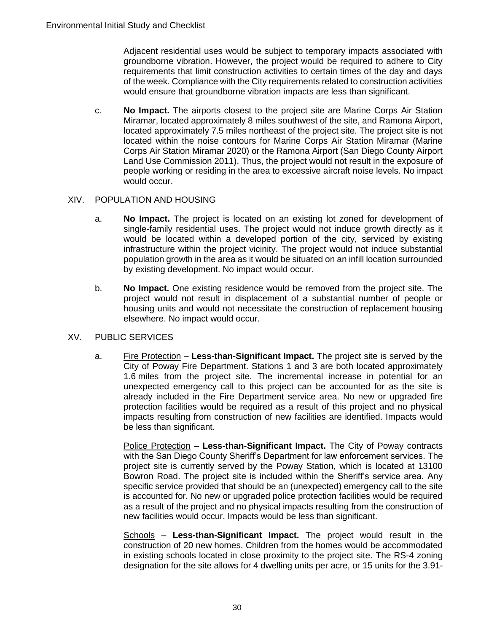Adjacent residential uses would be subject to temporary impacts associated with groundborne vibration. However, the project would be required to adhere to City requirements that limit construction activities to certain times of the day and days of the week. Compliance with the City requirements related to construction activities would ensure that groundborne vibration impacts are less than significant.

c. **No Impact.** The airports closest to the project site are Marine Corps Air Station Miramar, located approximately 8 miles southwest of the site, and Ramona Airport, located approximately 7.5 miles northeast of the project site. The project site is not located within the noise contours for Marine Corps Air Station Miramar (Marine Corps Air Station Miramar 2020) or the Ramona Airport (San Diego County Airport Land Use Commission 2011). Thus, the project would not result in the exposure of people working or residing in the area to excessive aircraft noise levels. No impact would occur.

# XIV. POPULATION AND HOUSING

- a. **No Impact.** The project is located on an existing lot zoned for development of single-family residential uses. The project would not induce growth directly as it would be located within a developed portion of the city, serviced by existing infrastructure within the project vicinity. The project would not induce substantial population growth in the area as it would be situated on an infill location surrounded by existing development. No impact would occur.
- b. **No Impact.** One existing residence would be removed from the project site. The project would not result in displacement of a substantial number of people or housing units and would not necessitate the construction of replacement housing elsewhere. No impact would occur.

## XV. PUBLIC SERVICES

a. Fire Protection – **Less-than-Significant Impact.** The project site is served by the City of Poway Fire Department. Stations 1 and 3 are both located approximately 1.6 miles from the project site. The incremental increase in potential for an unexpected emergency call to this project can be accounted for as the site is already included in the Fire Department service area. No new or upgraded fire protection facilities would be required as a result of this project and no physical impacts resulting from construction of new facilities are identified. Impacts would be less than significant.

Police Protection – **Less-than-Significant Impact.** The City of Poway contracts with the San Diego County Sheriff's Department for law enforcement services. The project site is currently served by the Poway Station, which is located at 13100 Bowron Road. The project site is included within the Sheriff's service area. Any specific service provided that should be an (unexpected) emergency call to the site is accounted for. No new or upgraded police protection facilities would be required as a result of the project and no physical impacts resulting from the construction of new facilities would occur. Impacts would be less than significant.

Schools – **Less-than-Significant Impact.** The project would result in the construction of 20 new homes. Children from the homes would be accommodated in existing schools located in close proximity to the project site. The RS-4 zoning designation for the site allows for 4 dwelling units per acre, or 15 units for the 3.91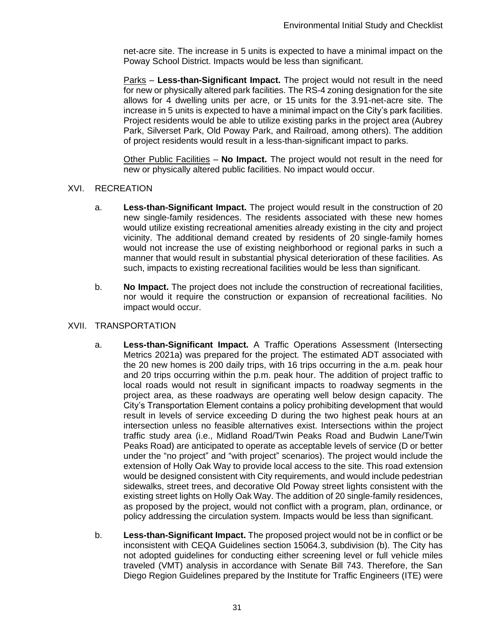net-acre site. The increase in 5 units is expected to have a minimal impact on the Poway School District. Impacts would be less than significant.

Parks – **Less-than-Significant Impact.** The project would not result in the need for new or physically altered park facilities. The RS-4 zoning designation for the site allows for 4 dwelling units per acre, or 15 units for the 3.91-net-acre site. The increase in 5 units is expected to have a minimal impact on the City's park facilities. Project residents would be able to utilize existing parks in the project area (Aubrey Park, Silverset Park, Old Poway Park, and Railroad, among others). The addition of project residents would result in a less-than-significant impact to parks.

Other Public Facilities – **No Impact.** The project would not result in the need for new or physically altered public facilities. No impact would occur.

#### XVI. RECREATION

- a. **Less-than-Significant Impact.** The project would result in the construction of 20 new single-family residences. The residents associated with these new homes would utilize existing recreational amenities already existing in the city and project vicinity. The additional demand created by residents of 20 single-family homes would not increase the use of existing neighborhood or regional parks in such a manner that would result in substantial physical deterioration of these facilities. As such, impacts to existing recreational facilities would be less than significant.
- b. **No Impact.** The project does not include the construction of recreational facilities, nor would it require the construction or expansion of recreational facilities. No impact would occur.

# XVII. TRANSPORTATION

- a. **Less-than-Significant Impact.** A Traffic Operations Assessment (Intersecting Metrics 2021a) was prepared for the project. The estimated ADT associated with the 20 new homes is 200 daily trips, with 16 trips occurring in the a.m. peak hour and 20 trips occurring within the p.m. peak hour. The addition of project traffic to local roads would not result in significant impacts to roadway segments in the project area, as these roadways are operating well below design capacity. The City's Transportation Element contains a policy prohibiting development that would result in levels of service exceeding D during the two highest peak hours at an intersection unless no feasible alternatives exist. Intersections within the project traffic study area (i.e., Midland Road/Twin Peaks Road and Budwin Lane/Twin Peaks Road) are anticipated to operate as acceptable levels of service (D or better under the "no project" and "with project" scenarios). The project would include the extension of Holly Oak Way to provide local access to the site. This road extension would be designed consistent with City requirements, and would include pedestrian sidewalks, street trees, and decorative Old Poway street lights consistent with the existing street lights on Holly Oak Way. The addition of 20 single-family residences, as proposed by the project, would not conflict with a program, plan, ordinance, or policy addressing the circulation system. Impacts would be less than significant.
- b. **Less-than-Significant Impact.** The proposed project would not be in conflict or be inconsistent with CEQA Guidelines section 15064.3, subdivision (b). The City has not adopted guidelines for conducting either screening level or full vehicle miles traveled (VMT) analysis in accordance with Senate Bill 743. Therefore, the San Diego Region Guidelines prepared by the Institute for Traffic Engineers (ITE) were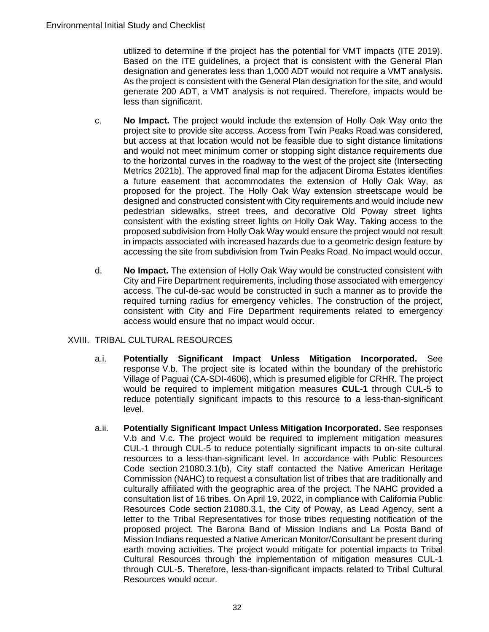utilized to determine if the project has the potential for VMT impacts (ITE 2019). Based on the ITE guidelines, a project that is consistent with the General Plan designation and generates less than 1,000 ADT would not require a VMT analysis. As the project is consistent with the General Plan designation for the site, and would generate 200 ADT, a VMT analysis is not required. Therefore, impacts would be less than significant.

- c. **No Impact.** The project would include the extension of Holly Oak Way onto the project site to provide site access. Access from Twin Peaks Road was considered, but access at that location would not be feasible due to sight distance limitations and would not meet minimum corner or stopping sight distance requirements due to the horizontal curves in the roadway to the west of the project site (Intersecting Metrics 2021b). The approved final map for the adjacent Diroma Estates identifies a future easement that accommodates the extension of Holly Oak Way, as proposed for the project. The Holly Oak Way extension streetscape would be designed and constructed consistent with City requirements and would include new pedestrian sidewalks, street trees, and decorative Old Poway street lights consistent with the existing street lights on Holly Oak Way. Taking access to the proposed subdivision from Holly Oak Way would ensure the project would not result in impacts associated with increased hazards due to a geometric design feature by accessing the site from subdivision from Twin Peaks Road. No impact would occur.
- d. **No Impact.** The extension of Holly Oak Way would be constructed consistent with City and Fire Department requirements, including those associated with emergency access. The cul-de-sac would be constructed in such a manner as to provide the required turning radius for emergency vehicles. The construction of the project, consistent with City and Fire Department requirements related to emergency access would ensure that no impact would occur.

## XVIII. TRIBAL CULTURAL RESOURCES

- a.i. **Potentially Significant Impact Unless Mitigation Incorporated.** See response V.b. The project site is located within the boundary of the prehistoric Village of Paguai (CA-SDI-4606), which is presumed eligible for CRHR. The project would be required to implement mitigation measures **CUL-1** through CUL-5 to reduce potentially significant impacts to this resource to a less-than-significant level.
- a.ii. **Potentially Significant Impact Unless Mitigation Incorporated.** See responses V.b and V.c. The project would be required to implement mitigation measures CUL-1 through CUL-5 to reduce potentially significant impacts to on-site cultural resources to a less-than-significant level. In accordance with Public Resources Code section 21080.3.1(b), City staff contacted the Native American Heritage Commission (NAHC) to request a consultation list of tribes that are traditionally and culturally affiliated with the geographic area of the project. The NAHC provided a consultation list of 16 tribes. On April 19, 2022, in compliance with California Public Resources Code section 21080.3.1, the City of Poway, as Lead Agency, sent a letter to the Tribal Representatives for those tribes requesting notification of the proposed project. The Barona Band of Mission Indians and La Posta Band of Mission Indians requested a Native American Monitor/Consultant be present during earth moving activities. The project would mitigate for potential impacts to Tribal Cultural Resources through the implementation of mitigation measures CUL-1 through CUL-5. Therefore, less-than-significant impacts related to Tribal Cultural Resources would occur.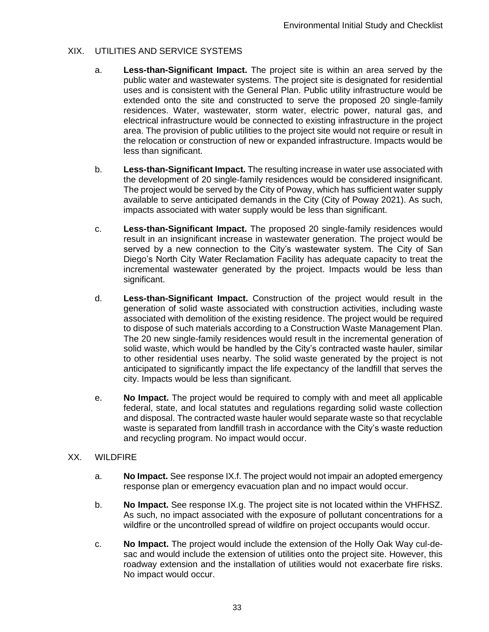## XIX. UTILITIES AND SERVICE SYSTEMS

- a. **Less-than-Significant Impact.** The project site is within an area served by the public water and wastewater systems. The project site is designated for residential uses and is consistent with the General Plan. Public utility infrastructure would be extended onto the site and constructed to serve the proposed 20 single-family residences. Water, wastewater, storm water, electric power, natural gas, and electrical infrastructure would be connected to existing infrastructure in the project area. The provision of public utilities to the project site would not require or result in the relocation or construction of new or expanded infrastructure. Impacts would be less than significant.
- b. **Less-than-Significant Impact.** The resulting increase in water use associated with the development of 20 single-family residences would be considered insignificant. The project would be served by the City of Poway, which has sufficient water supply available to serve anticipated demands in the City (City of Poway 2021). As such, impacts associated with water supply would be less than significant.
- c. **Less-than-Significant Impact.** The proposed 20 single-family residences would result in an insignificant increase in wastewater generation. The project would be served by a new connection to the City's wastewater system. The City of San Diego's North City Water Reclamation Facility has adequate capacity to treat the incremental wastewater generated by the project. Impacts would be less than significant.
- d. **Less-than-Significant Impact.** Construction of the project would result in the generation of solid waste associated with construction activities, including waste associated with demolition of the existing residence. The project would be required to dispose of such materials according to a Construction Waste Management Plan. The 20 new single-family residences would result in the incremental generation of solid waste, which would be handled by the City's contracted waste hauler, similar to other residential uses nearby. The solid waste generated by the project is not anticipated to significantly impact the life expectancy of the landfill that serves the city. Impacts would be less than significant.
- e. **No Impact.** The project would be required to comply with and meet all applicable federal, state, and local statutes and regulations regarding solid waste collection and disposal. The contracted waste hauler would separate waste so that recyclable waste is separated from landfill trash in accordance with the City's waste reduction and recycling program. No impact would occur.

## XX. WILDFIRE

- a. **No Impact.** See response IX.f. The project would not impair an adopted emergency response plan or emergency evacuation plan and no impact would occur.
- b. **No Impact.** See response IX.g. The project site is not located within the VHFHSZ. As such, no impact associated with the exposure of pollutant concentrations for a wildfire or the uncontrolled spread of wildfire on project occupants would occur.
- c. **No Impact.** The project would include the extension of the Holly Oak Way cul-desac and would include the extension of utilities onto the project site. However, this roadway extension and the installation of utilities would not exacerbate fire risks. No impact would occur.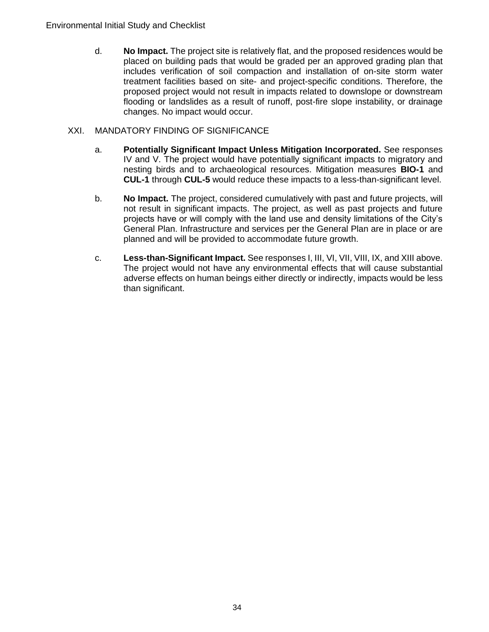d. **No Impact.** The project site is relatively flat, and the proposed residences would be placed on building pads that would be graded per an approved grading plan that includes verification of soil compaction and installation of on-site storm water treatment facilities based on site- and project-specific conditions. Therefore, the proposed project would not result in impacts related to downslope or downstream flooding or landslides as a result of runoff, post-fire slope instability, or drainage changes. No impact would occur.

# XXI. MANDATORY FINDING OF SIGNIFICANCE

- a. **Potentially Significant Impact Unless Mitigation Incorporated.** See responses IV and V. The project would have potentially significant impacts to migratory and nesting birds and to archaeological resources. Mitigation measures **BIO-1** and **CUL-1** through **CUL-5** would reduce these impacts to a less-than-significant level.
- b. **No Impact.** The project, considered cumulatively with past and future projects, will not result in significant impacts. The project, as well as past projects and future projects have or will comply with the land use and density limitations of the City's General Plan. Infrastructure and services per the General Plan are in place or are planned and will be provided to accommodate future growth.
- c. **Less-than-Significant Impact.** See responses I, III, VI, VII, VIII, IX, and XIII above. The project would not have any environmental effects that will cause substantial adverse effects on human beings either directly or indirectly, impacts would be less than significant.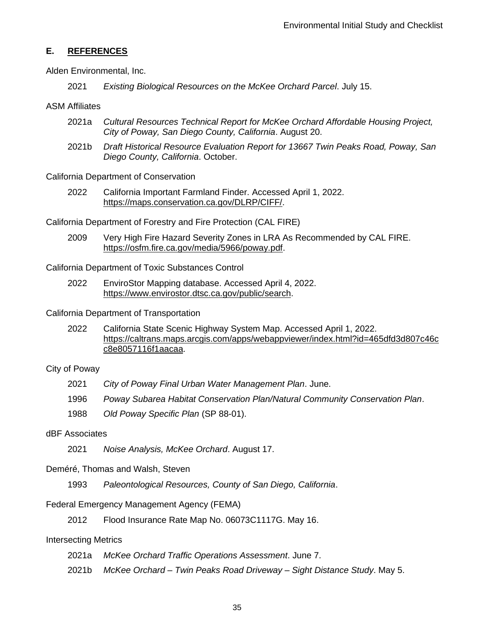### **E. REFERENCES**

Alden Environmental, Inc.

2021 *Existing Biological Resources on the McKee Orchard Parcel*. July 15.

#### ASM Affiliates

- 2021a *Cultural Resources Technical Report for McKee Orchard Affordable Housing Project, City of Poway, San Diego County, California*. August 20.
- 2021b *Draft Historical Resource Evaluation Report for 13667 Twin Peaks Road, Poway, San Diego County, California*. October.

California Department of Conservation

2022 California Important Farmland Finder. Accessed April 1, 2022. [https://maps.conservation.ca.gov/DLRP/CIFF/.](https://maps.conservation.ca.gov/DLRP/CIFF/)

California Department of Forestry and Fire Protection (CAL FIRE)

2009 Very High Fire Hazard Severity Zones in LRA As Recommended by CAL FIRE. [https://osfm.fire.ca.gov/media/5966/poway.pdf.](https://osfm.fire.ca.gov/media/5966/poway.pdf)

California Department of Toxic Substances Control

2022 EnviroStor Mapping database. Accessed April 4, 2022. [https://www.envirostor.dtsc.ca.gov/public/search.](https://www.envirostor.dtsc.ca.gov/public/search)

California Department of Transportation

2022 California State Scenic Highway System Map. Accessed April 1, 2022. [https://caltrans.maps.arcgis.com/apps/webappviewer/index.html?id=465dfd3d807c46c](https://caltrans.maps.arcgis.com/apps/webappviewer/index.html?id=465dfd3d807c46cc8e8057116f1aacaa) [c8e8057116f1aacaa.](https://caltrans.maps.arcgis.com/apps/webappviewer/index.html?id=465dfd3d807c46cc8e8057116f1aacaa)

### City of Poway

- 2021 *City of Poway Final Urban Water Management Plan*. June.
- 1996 *Poway Subarea Habitat Conservation Plan/Natural Community Conservation Plan*.
- 1988 *Old Poway Specific Plan* (SP 88-01).

#### dBF Associates

2021 *Noise Analysis, McKee Orchard*. August 17.

### Deméré, Thomas and Walsh, Steven

1993 *Paleontological Resources, County of San Diego, California*.

#### Federal Emergency Management Agency (FEMA)

2012 Flood Insurance Rate Map No. 06073C1117G. May 16.

#### Intersecting Metrics

- 2021a *McKee Orchard Traffic Operations Assessment*. June 7.
- 2021b *McKee Orchard – Twin Peaks Road Driveway – Sight Distance Study*. May 5.